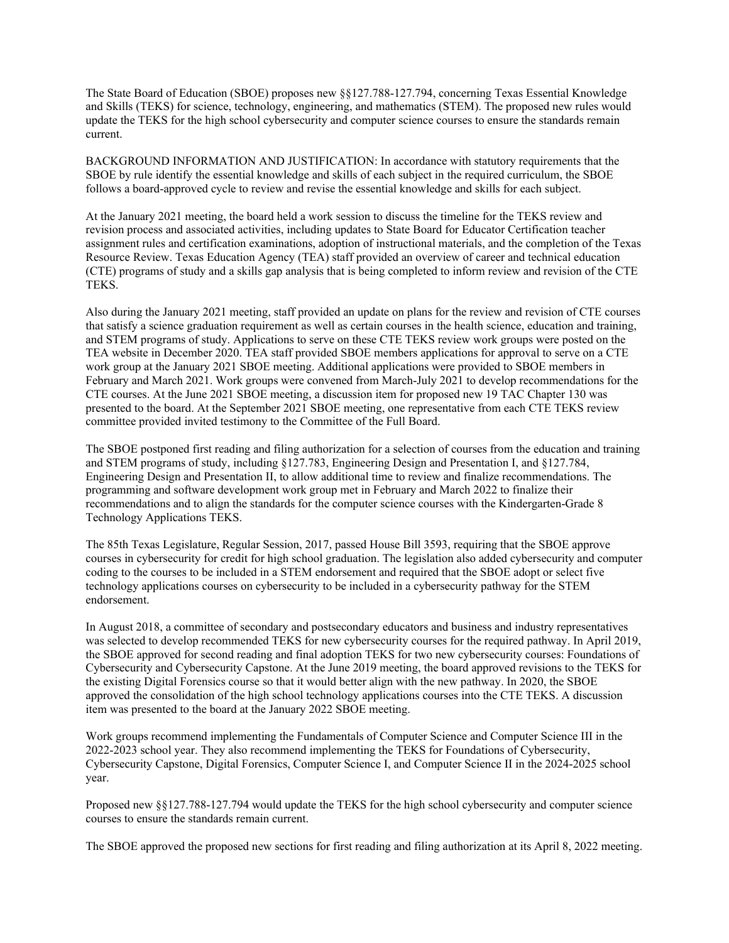The State Board of Education (SBOE) proposes new §§127.788-127.794, concerning Texas Essential Knowledge and Skills (TEKS) for science, technology, engineering, and mathematics (STEM). The proposed new rules would update the TEKS for the high school cybersecurity and computer science courses to ensure the standards remain current.

BACKGROUND INFORMATION AND JUSTIFICATION: In accordance with statutory requirements that the SBOE by rule identify the essential knowledge and skills of each subject in the required curriculum, the SBOE follows a board-approved cycle to review and revise the essential knowledge and skills for each subject.

At the January 2021 meeting, the board held a work session to discuss the timeline for the TEKS review and revision process and associated activities, including updates to State Board for Educator Certification teacher assignment rules and certification examinations, adoption of instructional materials, and the completion of the Texas Resource Review. Texas Education Agency (TEA) staff provided an overview of career and technical education (CTE) programs of study and a skills gap analysis that is being completed to inform review and revision of the CTE TEKS.

Also during the January 2021 meeting, staff provided an update on plans for the review and revision of CTE courses that satisfy a science graduation requirement as well as certain courses in the health science, education and training, and STEM programs of study. Applications to serve on these CTE TEKS review work groups were posted on the TEA website in December 2020. TEA staff provided SBOE members applications for approval to serve on a CTE work group at the January 2021 SBOE meeting. Additional applications were provided to SBOE members in February and March 2021. Work groups were convened from March-July 2021 to develop recommendations for the CTE courses. At the June 2021 SBOE meeting, a discussion item for proposed new 19 TAC Chapter 130 was presented to the board. At the September 2021 SBOE meeting, one representative from each CTE TEKS review committee provided invited testimony to the Committee of the Full Board.

The SBOE postponed first reading and filing authorization for a selection of courses from the education and training and STEM programs of study, including §127.783, Engineering Design and Presentation I, and §127.784, Engineering Design and Presentation II, to allow additional time to review and finalize recommendations. The programming and software development work group met in February and March 2022 to finalize their recommendations and to align the standards for the computer science courses with the Kindergarten-Grade 8 Technology Applications TEKS.

The 85th Texas Legislature, Regular Session, 2017, passed House Bill 3593, requiring that the SBOE approve courses in cybersecurity for credit for high school graduation. The legislation also added cybersecurity and computer coding to the courses to be included in a STEM endorsement and required that the SBOE adopt or select five technology applications courses on cybersecurity to be included in a cybersecurity pathway for the STEM endorsement.

In August 2018, a committee of secondary and postsecondary educators and business and industry representatives was selected to develop recommended TEKS for new cybersecurity courses for the required pathway. In April 2019, the SBOE approved for second reading and final adoption TEKS for two new cybersecurity courses: Foundations of Cybersecurity and Cybersecurity Capstone. At the June 2019 meeting, the board approved revisions to the TEKS for the existing Digital Forensics course so that it would better align with the new pathway. In 2020, the SBOE approved the consolidation of the high school technology applications courses into the CTE TEKS. A discussion item was presented to the board at the January 2022 SBOE meeting.

Work groups recommend implementing the Fundamentals of Computer Science and Computer Science III in the 2022-2023 school year. They also recommend implementing the TEKS for Foundations of Cybersecurity, Cybersecurity Capstone, Digital Forensics, Computer Science I, and Computer Science II in the 2024-2025 school year.

Proposed new §§127.788-127.794 would update the TEKS for the high school cybersecurity and computer science courses to ensure the standards remain current.

The SBOE approved the proposed new sections for first reading and filing authorization at its April 8, 2022 meeting.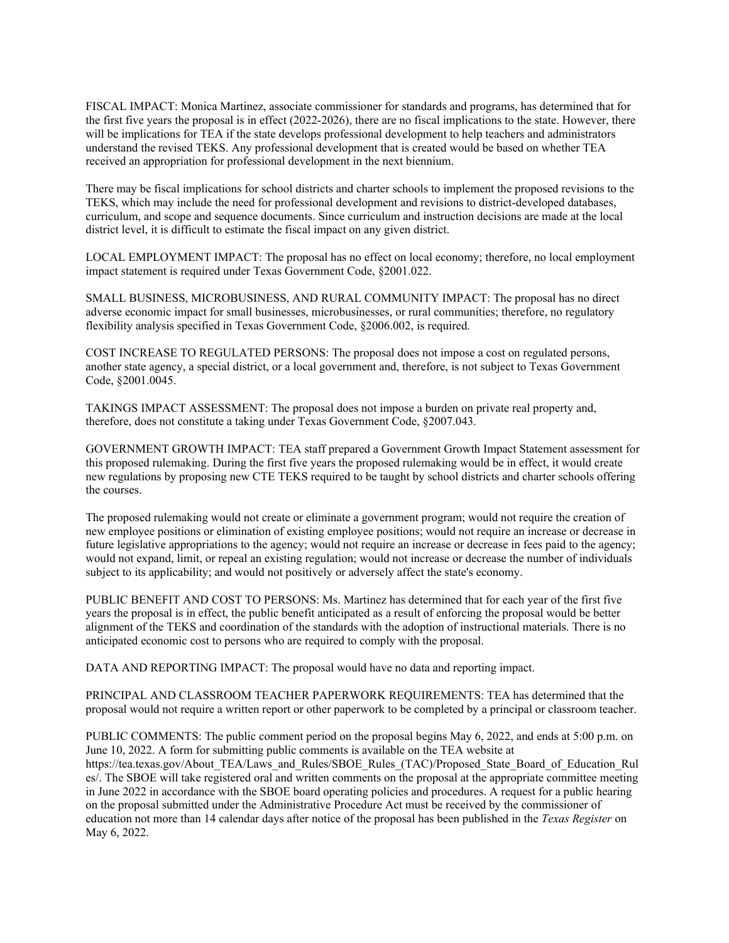FISCAL IMPACT: Monica Martinez, associate commissioner for standards and programs, has determined that for the first five years the proposal is in effect (2022-2026), there are no fiscal implications to the state. However, there will be implications for TEA if the state develops professional development to help teachers and administrators understand the revised TEKS. Any professional development that is created would be based on whether TEA received an appropriation for professional development in the next biennium.

There may be fiscal implications for school districts and charter schools to implement the proposed revisions to the TEKS, which may include the need for professional development and revisions to district-developed databases, curriculum, and scope and sequence documents. Since curriculum and instruction decisions are made at the local district level, it is difficult to estimate the fiscal impact on any given district.

LOCAL EMPLOYMENT IMPACT: The proposal has no effect on local economy; therefore, no local employment impact statement is required under Texas Government Code, §2001.022.

SMALL BUSINESS, MICROBUSINESS, AND RURAL COMMUNITY IMPACT: The proposal has no direct adverse economic impact for small businesses, microbusinesses, or rural communities; therefore, no regulatory flexibility analysis specified in Texas Government Code, §2006.002, is required.

COST INCREASE TO REGULATED PERSONS: The proposal does not impose a cost on regulated persons, another state agency, a special district, or a local government and, therefore, is not subject to Texas Government Code, §2001.0045.

TAKINGS IMPACT ASSESSMENT: The proposal does not impose a burden on private real property and, therefore, does not constitute a taking under Texas Government Code, §2007.043.

GOVERNMENT GROWTH IMPACT: TEA staff prepared a Government Growth Impact Statement assessment for this proposed rulemaking. During the first five years the proposed rulemaking would be in effect, it would create new regulations by proposing new CTE TEKS required to be taught by school districts and charter schools offering the courses.

The proposed rulemaking would not create or eliminate a government program; would not require the creation of new employee positions or elimination of existing employee positions; would not require an increase or decrease in future legislative appropriations to the agency; would not require an increase or decrease in fees paid to the agency; would not expand, limit, or repeal an existing regulation; would not increase or decrease the number of individuals subject to its applicability; and would not positively or adversely affect the state's economy.

PUBLIC BENEFIT AND COST TO PERSONS: Ms. Martinez has determined that for each year of the first five years the proposal is in effect, the public benefit anticipated as a result of enforcing the proposal would be better alignment of the TEKS and coordination of the standards with the adoption of instructional materials. There is no anticipated economic cost to persons who are required to comply with the proposal.

DATA AND REPORTING IMPACT: The proposal would have no data and reporting impact.

PRINCIPAL AND CLASSROOM TEACHER PAPERWORK REQUIREMENTS: TEA has determined that the proposal would not require a written report or other paperwork to be completed by a principal or classroom teacher.

PUBLIC COMMENTS: The public comment period on the proposal begins May 6, 2022, and ends at 5:00 p.m. on June 10, 2022. A form for submitting public comments is available on the TEA website at https://tea.texas.gov/About\_TEA/Laws\_and\_Rules/SBOE\_Rules\_(TAC)/Proposed\_State\_Board\_of\_Education\_Rul es/. The SBOE will take registered oral and written comments on the proposal at the appropriate committee meeting in June 2022 in accordance with the SBOE board operating policies and procedures. A request for a public hearing on the proposal submitted under the Administrative Procedure Act must be received by the commissioner of education not more than 14 calendar days after notice of the proposal has been published in the *Texas Register* on May 6, 2022.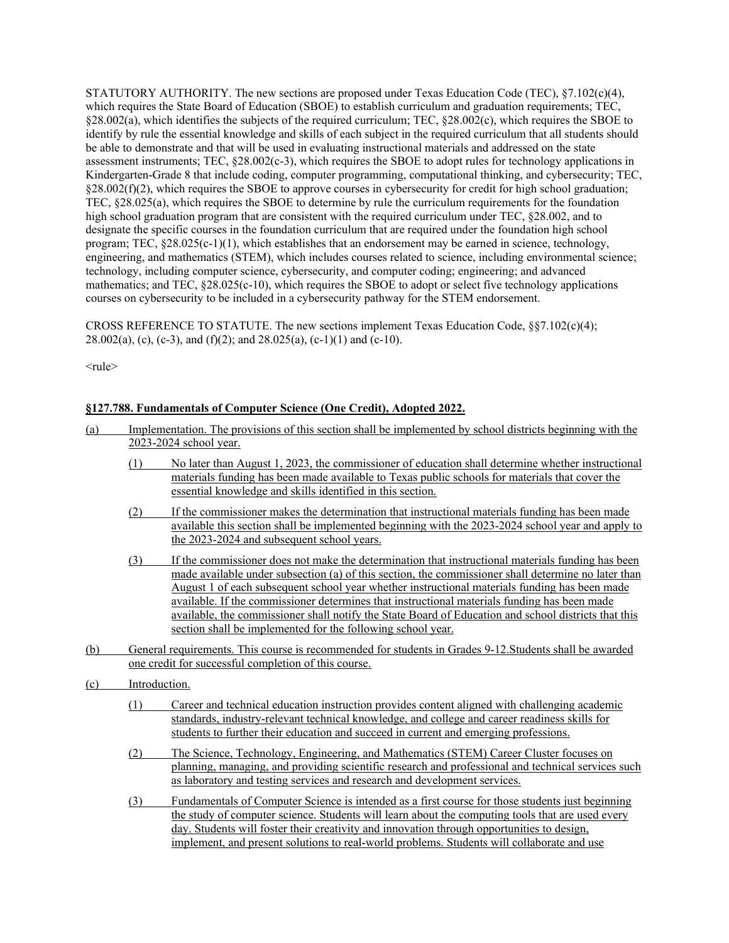STATUTORY AUTHORITY. The new sections are proposed under Texas Education Code (TEC), §7.102(c)(4), which requires the State Board of Education (SBOE) to establish curriculum and graduation requirements; TEC,  $\S28.002(a)$ , which identifies the subjects of the required curriculum; TEC,  $\S28.002(c)$ , which requires the SBOE to identify by rule the essential knowledge and skills of each subject in the required curriculum that all students should be able to demonstrate and that will be used in evaluating instructional materials and addressed on the state assessment instruments; TEC, §28.002(c-3), which requires the SBOE to adopt rules for technology applications in Kindergarten-Grade 8 that include coding, computer programming, computational thinking, and cybersecurity; TEC,  $§28.002(f)(2)$ , which requires the SBOE to approve courses in cybersecurity for credit for high school graduation; TEC, §28.025(a), which requires the SBOE to determine by rule the curriculum requirements for the foundation high school graduation program that are consistent with the required curriculum under TEC, §28.002, and to designate the specific courses in the foundation curriculum that are required under the foundation high school program; TEC, §28.025(c-1)(1), which establishes that an endorsement may be earned in science, technology, engineering, and mathematics (STEM), which includes courses related to science, including environmental science; technology, including computer science, cybersecurity, and computer coding; engineering; and advanced mathematics; and TEC, §28.025(c-10), which requires the SBOE to adopt or select five technology applications courses on cybersecurity to be included in a cybersecurity pathway for the STEM endorsement.

CROSS REFERENCE TO STATUTE. The new sections implement Texas Education Code,  $\S 87.102(c)(4)$ ;  $28.002(a)$ , (c), (c-3), and (f)(2); and  $28.025(a)$ , (c-1)(1) and (c-10).

<rule>

## **§127.788. Fundamentals of Computer Science (One Credit), Adopted 2022.**

(a) Implementation. The provisions of this section shall be implemented by school districts beginning with the 2023-2024 school year. (1) No later than August 1, 2023, the commissioner of education shall determine whether instructional materials funding has been made available to Texas public schools for materials that cover the essential knowledge and skills identified in this section. (2) If the commissioner makes the determination that instructional materials funding has been made available this section shall be implemented beginning with the 2023-2024 school year and apply to the 2023-2024 and subsequent school years. (3) If the commissioner does not make the determination that instructional materials funding has been made available under subsection (a) of this section, the commissioner shall determine no later than August 1 of each subsequent school year whether instructional materials funding has been made available. If the commissioner determines that instructional materials funding has been made available, the commissioner shall notify the State Board of Education and school districts that this section shall be implemented for the following school year. (b) General requirements. This course is recommended for students in Grades 9-12.Students shall be awarded one credit for successful completion of this course. (c) Introduction. (1) Career and technical education instruction provides content aligned with challenging academic standards, industry-relevant technical knowledge, and college and career readiness skills for students to further their education and succeed in current and emerging professions. (2) The Science, Technology, Engineering, and Mathematics (STEM) Career Cluster focuses on planning, managing, and providing scientific research and professional and technical services such as laboratory and testing services and research and development services. (3) Fundamentals of Computer Science is intended as a first course for those students just beginning the study of computer science. Students will learn about the computing tools that are used every day. Students will foster their creativity and innovation through opportunities to design, implement, and present solutions to real-world problems. Students will collaborate and use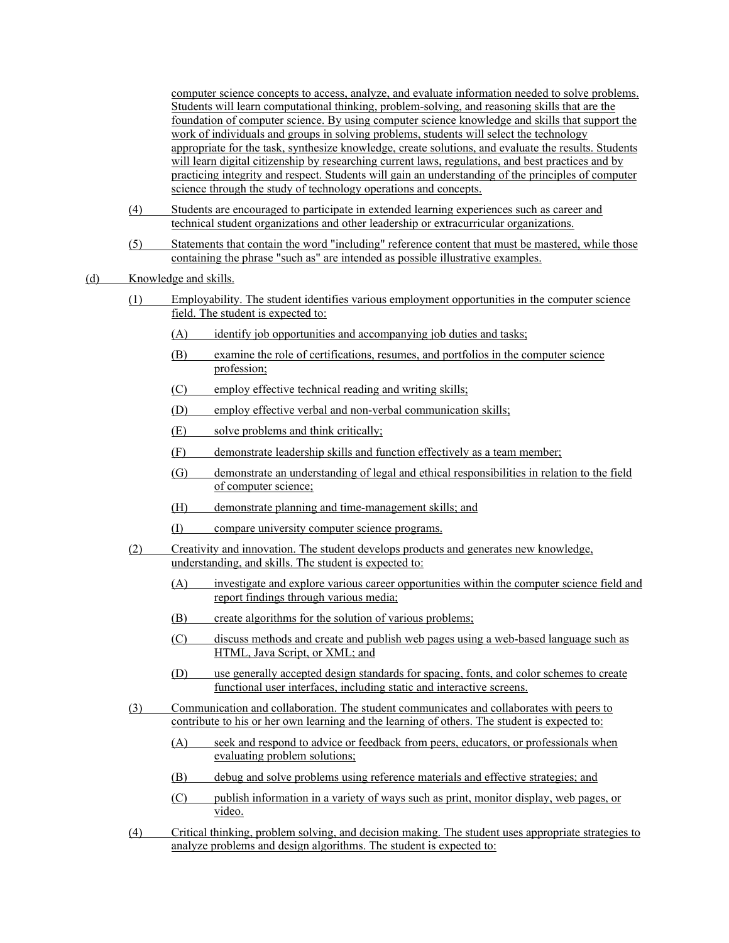computer science concepts to access, analyze, and evaluate information needed to solve problems. Students will learn computational thinking, problem-solving, and reasoning skills that are the foundation of computer science. By using computer science knowledge and skills that support the work of individuals and groups in solving problems, students will select the technology appropriate for the task, synthesize knowledge, create solutions, and evaluate the results. Students will learn digital citizenship by researching current laws, regulations, and best practices and by practicing integrity and respect. Students will gain an understanding of the principles of computer science through the study of technology operations and concepts.

- (4) Students are encouraged to participate in extended learning experiences such as career and technical student organizations and other leadership or extracurricular organizations.
- (5) Statements that contain the word "including" reference content that must be mastered, while those containing the phrase "such as" are intended as possible illustrative examples.

#### (d) Knowledge and skills.

- (1) Employability. The student identifies various employment opportunities in the computer science field. The student is expected to:
	- (A) identify job opportunities and accompanying job duties and tasks;
	- (B) examine the role of certifications, resumes, and portfolios in the computer science profession;
	- (C) employ effective technical reading and writing skills;
	- (D) employ effective verbal and non-verbal communication skills;
	- (E) solve problems and think critically;
	- (F) demonstrate leadership skills and function effectively as a team member;
	- (G) demonstrate an understanding of legal and ethical responsibilities in relation to the field of computer science;
	- (H) demonstrate planning and time-management skills; and
	- (I) compare university computer science programs.
- (2) Creativity and innovation. The student develops products and generates new knowledge, understanding, and skills. The student is expected to:
	- (A) investigate and explore various career opportunities within the computer science field and report findings through various media;
	- (B) create algorithms for the solution of various problems;
	- (C) discuss methods and create and publish web pages using a web-based language such as HTML, Java Script, or XML; and
	- (D) use generally accepted design standards for spacing, fonts, and color schemes to create functional user interfaces, including static and interactive screens.
- (3) Communication and collaboration. The student communicates and collaborates with peers to contribute to his or her own learning and the learning of others. The student is expected to:
	- (A) seek and respond to advice or feedback from peers, educators, or professionals when evaluating problem solutions;
	- (B) debug and solve problems using reference materials and effective strategies; and
	- (C) publish information in a variety of ways such as print, monitor display, web pages, or video.
- (4) Critical thinking, problem solving, and decision making. The student uses appropriate strategies to analyze problems and design algorithms. The student is expected to: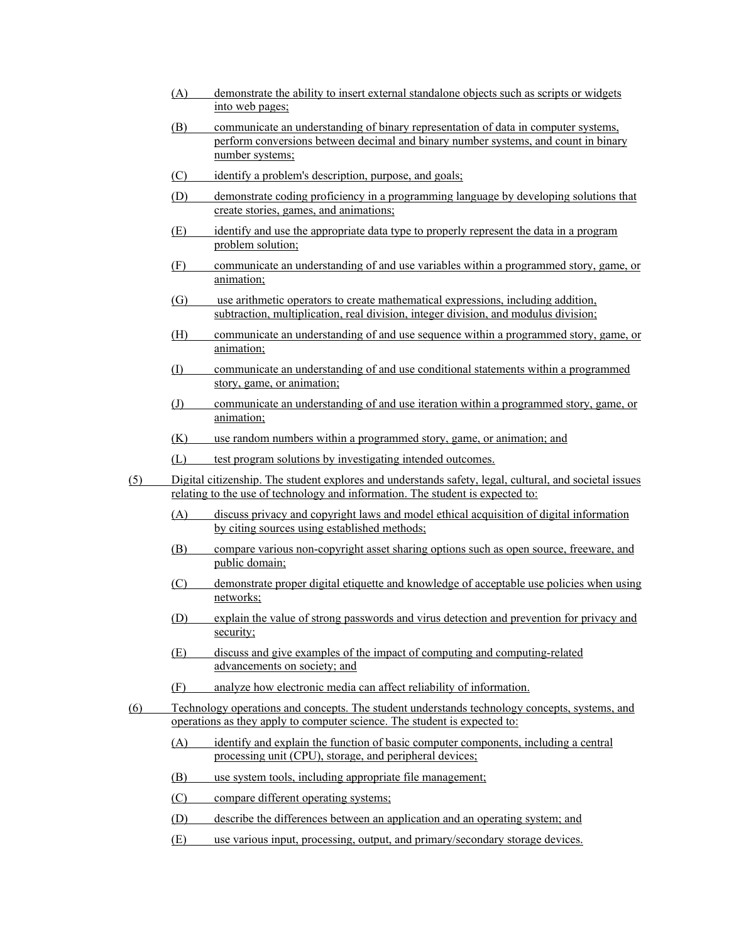- (A) demonstrate the ability to insert external standalone objects such as scripts or widgets into web pages;
- (B) communicate an understanding of binary representation of data in computer systems, perform conversions between decimal and binary number systems, and count in binary number systems;
- (C) identify a problem's description, purpose, and goals;
- (D) demonstrate coding proficiency in a programming language by developing solutions that create stories, games, and animations;
- (E) identify and use the appropriate data type to properly represent the data in a program problem solution;
- (F) communicate an understanding of and use variables within a programmed story, game, or animation;
- (G) use arithmetic operators to create mathematical expressions, including addition, subtraction, multiplication, real division, integer division, and modulus division;
- (H) communicate an understanding of and use sequence within a programmed story, game, or animation;
- (I) communicate an understanding of and use conditional statements within a programmed story, game, or animation;
- (J) communicate an understanding of and use iteration within a programmed story, game, or animation;
- (K) use random numbers within a programmed story, game, or animation; and
- (L) test program solutions by investigating intended outcomes.
- (5) Digital citizenship. The student explores and understands safety, legal, cultural, and societal issues relating to the use of technology and information. The student is expected to:
	- (A) discuss privacy and copyright laws and model ethical acquisition of digital information by citing sources using established methods;
	- (B) compare various non-copyright asset sharing options such as open source, freeware, and public domain;
	- (C) demonstrate proper digital etiquette and knowledge of acceptable use policies when using networks;
	- (D) explain the value of strong passwords and virus detection and prevention for privacy and security;
	- (E) discuss and give examples of the impact of computing and computing-related advancements on society; and
	- (F) analyze how electronic media can affect reliability of information.
- (6) Technology operations and concepts. The student understands technology concepts, systems, and operations as they apply to computer science. The student is expected to:
	- (A) identify and explain the function of basic computer components, including a central processing unit (CPU), storage, and peripheral devices;
	- (B) use system tools, including appropriate file management;
	- (C) compare different operating systems;
	- (D) describe the differences between an application and an operating system; and
	- (E) use various input, processing, output, and primary/secondary storage devices.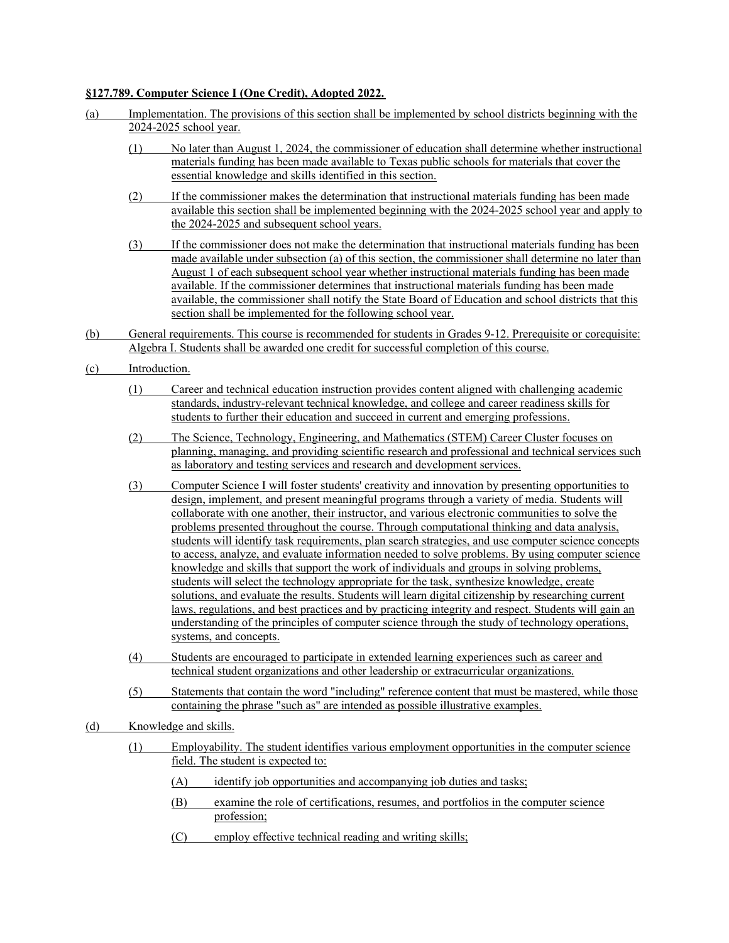# **§127.789. Computer Science I (One Credit), Adopted 2022.**

| (a) | Implementation. The provisions of this section shall be implemented by school districts beginning with the<br>2024-2025 school year. |                                                                                                                                                                                                                                                                                                                                                                                                                                                                                                                                                                                                                                                                                                                                                                                                                                                                                                                                                                                                                                                                                                                                                       |
|-----|--------------------------------------------------------------------------------------------------------------------------------------|-------------------------------------------------------------------------------------------------------------------------------------------------------------------------------------------------------------------------------------------------------------------------------------------------------------------------------------------------------------------------------------------------------------------------------------------------------------------------------------------------------------------------------------------------------------------------------------------------------------------------------------------------------------------------------------------------------------------------------------------------------------------------------------------------------------------------------------------------------------------------------------------------------------------------------------------------------------------------------------------------------------------------------------------------------------------------------------------------------------------------------------------------------|
|     | (1)                                                                                                                                  | No later than August 1, 2024, the commissioner of education shall determine whether instructional<br>materials funding has been made available to Texas public schools for materials that cover the<br>essential knowledge and skills identified in this section.                                                                                                                                                                                                                                                                                                                                                                                                                                                                                                                                                                                                                                                                                                                                                                                                                                                                                     |
|     | (2)                                                                                                                                  | If the commissioner makes the determination that instructional materials funding has been made<br>available this section shall be implemented beginning with the 2024-2025 school year and apply to<br>the 2024-2025 and subsequent school years.                                                                                                                                                                                                                                                                                                                                                                                                                                                                                                                                                                                                                                                                                                                                                                                                                                                                                                     |
|     | (3)                                                                                                                                  | If the commissioner does not make the determination that instructional materials funding has been<br>made available under subsection (a) of this section, the commissioner shall determine no later than<br>August 1 of each subsequent school year whether instructional materials funding has been made<br>available. If the commissioner determines that instructional materials funding has been made<br>available, the commissioner shall notify the State Board of Education and school districts that this<br>section shall be implemented for the following school year.                                                                                                                                                                                                                                                                                                                                                                                                                                                                                                                                                                      |
| (b) |                                                                                                                                      | General requirements. This course is recommended for students in Grades 9-12. Prerequisite or corequisite:<br>Algebra I. Students shall be awarded one credit for successful completion of this course.                                                                                                                                                                                                                                                                                                                                                                                                                                                                                                                                                                                                                                                                                                                                                                                                                                                                                                                                               |
| (c) | Introduction.                                                                                                                        |                                                                                                                                                                                                                                                                                                                                                                                                                                                                                                                                                                                                                                                                                                                                                                                                                                                                                                                                                                                                                                                                                                                                                       |
|     | (1)                                                                                                                                  | Career and technical education instruction provides content aligned with challenging academic<br>standards, industry-relevant technical knowledge, and college and career readiness skills for<br>students to further their education and succeed in current and emerging professions.                                                                                                                                                                                                                                                                                                                                                                                                                                                                                                                                                                                                                                                                                                                                                                                                                                                                |
|     | (2)                                                                                                                                  | The Science, Technology, Engineering, and Mathematics (STEM) Career Cluster focuses on<br>planning, managing, and providing scientific research and professional and technical services such<br>as laboratory and testing services and research and development services.                                                                                                                                                                                                                                                                                                                                                                                                                                                                                                                                                                                                                                                                                                                                                                                                                                                                             |
|     | (3)                                                                                                                                  | Computer Science I will foster students' creativity and innovation by presenting opportunities to<br>design, implement, and present meaningful programs through a variety of media. Students will<br>collaborate with one another, their instructor, and various electronic communities to solve the<br>problems presented throughout the course. Through computational thinking and data analysis,<br>students will identify task requirements, plan search strategies, and use computer science concepts<br>to access, analyze, and evaluate information needed to solve problems. By using computer science<br>knowledge and skills that support the work of individuals and groups in solving problems,<br>students will select the technology appropriate for the task, synthesize knowledge, create<br>solutions, and evaluate the results. Students will learn digital citizenship by researching current<br>laws, regulations, and best practices and by practicing integrity and respect. Students will gain an<br>understanding of the principles of computer science through the study of technology operations,<br>systems, and concepts. |
|     | (4)                                                                                                                                  | Students are encouraged to participate in extended learning experiences such as career and<br>technical student organizations and other leadership or extracurricular organizations.                                                                                                                                                                                                                                                                                                                                                                                                                                                                                                                                                                                                                                                                                                                                                                                                                                                                                                                                                                  |
|     | (5)                                                                                                                                  | Statements that contain the word "including" reference content that must be mastered, while those<br>containing the phrase "such as" are intended as possible illustrative examples.                                                                                                                                                                                                                                                                                                                                                                                                                                                                                                                                                                                                                                                                                                                                                                                                                                                                                                                                                                  |
| (d) |                                                                                                                                      | Knowledge and skills.                                                                                                                                                                                                                                                                                                                                                                                                                                                                                                                                                                                                                                                                                                                                                                                                                                                                                                                                                                                                                                                                                                                                 |
|     | (1)                                                                                                                                  | Employability. The student identifies various employment opportunities in the computer science<br>field. The student is expected to:                                                                                                                                                                                                                                                                                                                                                                                                                                                                                                                                                                                                                                                                                                                                                                                                                                                                                                                                                                                                                  |
|     |                                                                                                                                      | identify job opportunities and accompanying job duties and tasks;<br>(A)                                                                                                                                                                                                                                                                                                                                                                                                                                                                                                                                                                                                                                                                                                                                                                                                                                                                                                                                                                                                                                                                              |
|     |                                                                                                                                      | (B)<br>examine the role of certifications, resumes, and portfolios in the computer science<br>profession;                                                                                                                                                                                                                                                                                                                                                                                                                                                                                                                                                                                                                                                                                                                                                                                                                                                                                                                                                                                                                                             |

(C) employ effective technical reading and writing skills;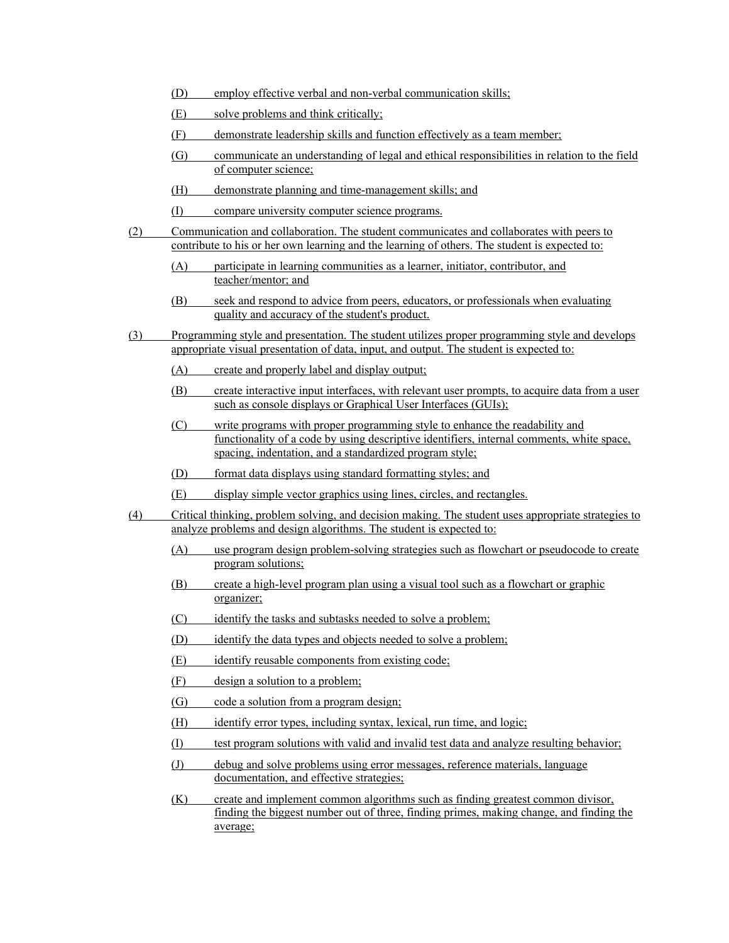- (D) employ effective verbal and non-verbal communication skills;
- (E) solve problems and think critically;
- (F) demonstrate leadership skills and function effectively as a team member;
- (G) communicate an understanding of legal and ethical responsibilities in relation to the field of computer science;
- (H) demonstrate planning and time-management skills; and
- (I) compare university computer science programs.
- (2) Communication and collaboration. The student communicates and collaborates with peers to contribute to his or her own learning and the learning of others. The student is expected to:
	- (A) participate in learning communities as a learner, initiator, contributor, and teacher/mentor; and
	- (B) seek and respond to advice from peers, educators, or professionals when evaluating quality and accuracy of the student's product.
- (3) Programming style and presentation. The student utilizes proper programming style and develops appropriate visual presentation of data, input, and output. The student is expected to:
	- (A) create and properly label and display output;
	- (B) create interactive input interfaces, with relevant user prompts, to acquire data from a user such as console displays or Graphical User Interfaces (GUIs);
	- (C) write programs with proper programming style to enhance the readability and functionality of a code by using descriptive identifiers, internal comments, white space, spacing, indentation, and a standardized program style;
	- (D) format data displays using standard formatting styles; and
	- (E) display simple vector graphics using lines, circles, and rectangles.
- (4) Critical thinking, problem solving, and decision making. The student uses appropriate strategies to analyze problems and design algorithms. The student is expected to:
	- (A) use program design problem-solving strategies such as flowchart or pseudocode to create program solutions;
	- (B) create a high-level program plan using a visual tool such as a flowchart or graphic organizer;
	- (C) identify the tasks and subtasks needed to solve a problem;
	- (D) identify the data types and objects needed to solve a problem;
	- (E) identify reusable components from existing code;
	- (F) design a solution to a problem;
	- (G) code a solution from a program design;
	- (H) identify error types, including syntax, lexical, run time, and logic;
	- (I) test program solutions with valid and invalid test data and analyze resulting behavior;
	- (J) debug and solve problems using error messages, reference materials, language documentation, and effective strategies;

(K) create and implement common algorithms such as finding greatest common divisor, finding the biggest number out of three, finding primes, making change, and finding the average;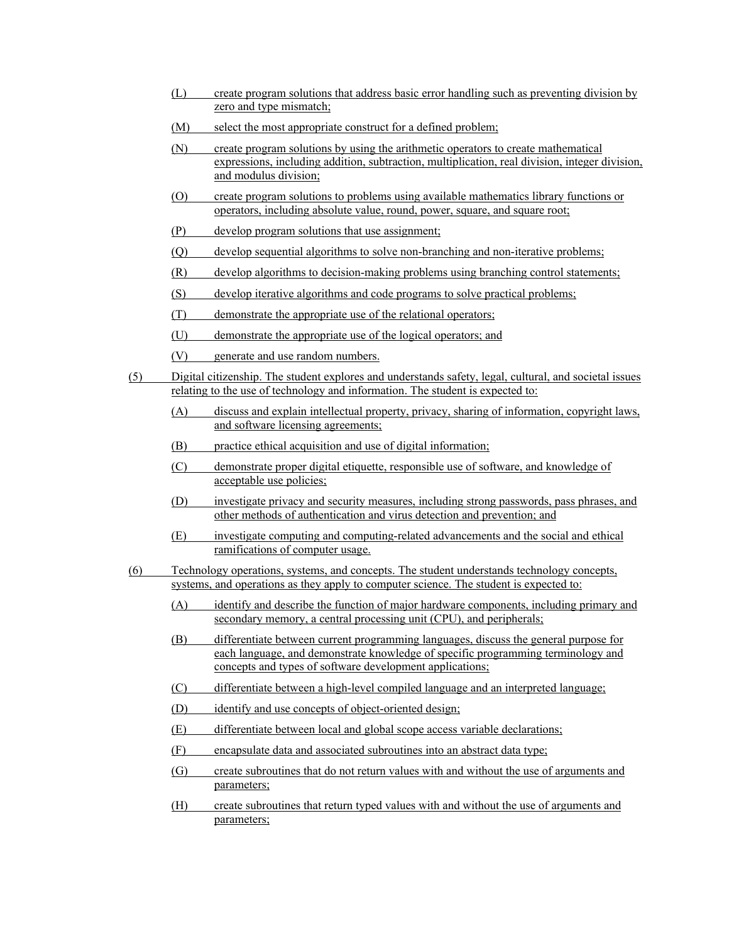- (L) create program solutions that address basic error handling such as preventing division by zero and type mismatch;
- (M) select the most appropriate construct for a defined problem;
- (N) create program solutions by using the arithmetic operators to create mathematical expressions, including addition, subtraction, multiplication, real division, integer division, and modulus division;
- (O) create program solutions to problems using available mathematics library functions or operators, including absolute value, round, power, square, and square root;
- (P) develop program solutions that use assignment;
- (Q) develop sequential algorithms to solve non-branching and non-iterative problems;
- (R) develop algorithms to decision-making problems using branching control statements;
- (S) develop iterative algorithms and code programs to solve practical problems;
- (T) demonstrate the appropriate use of the relational operators;
- (U) demonstrate the appropriate use of the logical operators; and
- (V) generate and use random numbers.
- (5) Digital citizenship. The student explores and understands safety, legal, cultural, and societal issues relating to the use of technology and information. The student is expected to:
	- (A) discuss and explain intellectual property, privacy, sharing of information, copyright laws, and software licensing agreements;
	- (B) practice ethical acquisition and use of digital information;
	- (C) demonstrate proper digital etiquette, responsible use of software, and knowledge of acceptable use policies;
	- (D) investigate privacy and security measures, including strong passwords, pass phrases, and other methods of authentication and virus detection and prevention; and
	- (E) investigate computing and computing-related advancements and the social and ethical ramifications of computer usage.
- (6) Technology operations, systems, and concepts. The student understands technology concepts, systems, and operations as they apply to computer science. The student is expected to:
	- (A) identify and describe the function of major hardware components, including primary and secondary memory, a central processing unit (CPU), and peripherals;
	- (B) differentiate between current programming languages, discuss the general purpose for each language, and demonstrate knowledge of specific programming terminology and concepts and types of software development applications;
	- (C) differentiate between a high-level compiled language and an interpreted language;
	- (D) identify and use concepts of object-oriented design;
	- (E) differentiate between local and global scope access variable declarations;
	- (F) encapsulate data and associated subroutines into an abstract data type;
	- (G) create subroutines that do not return values with and without the use of arguments and parameters;
	- (H) create subroutines that return typed values with and without the use of arguments and parameters;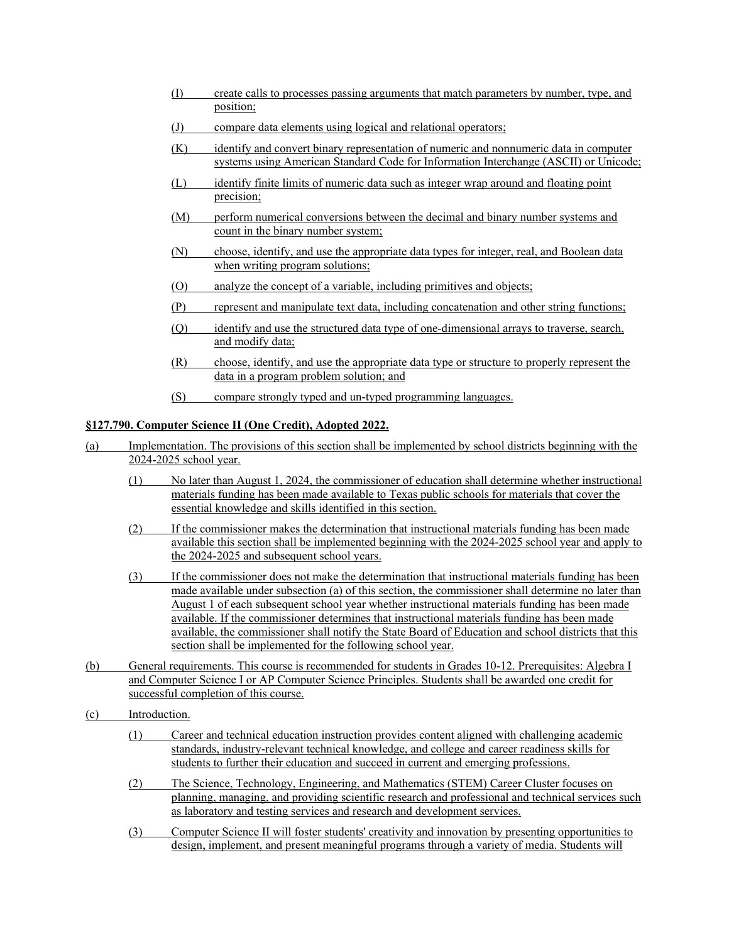- (I) create calls to processes passing arguments that match parameters by number, type, and position;
- (J) compare data elements using logical and relational operators;
- (K) identify and convert binary representation of numeric and nonnumeric data in computer systems using American Standard Code for Information Interchange (ASCII) or Unicode;
- (L) identify finite limits of numeric data such as integer wrap around and floating point precision;
- (M) perform numerical conversions between the decimal and binary number systems and count in the binary number system;
- (N) choose, identify, and use the appropriate data types for integer, real, and Boolean data when writing program solutions;
- (O) analyze the concept of a variable, including primitives and objects;
- (P) represent and manipulate text data, including concatenation and other string functions;
- (Q) identify and use the structured data type of one-dimensional arrays to traverse, search, and modify data;
- (R) choose, identify, and use the appropriate data type or structure to properly represent the data in a program problem solution; and
- (S) compare strongly typed and un-typed programming languages.

# **§127.790. Computer Science II (One Credit), Adopted 2022.**

- (a) Implementation. The provisions of this section shall be implemented by school districts beginning with the 2024-2025 school year.
	- (1) No later than August 1, 2024, the commissioner of education shall determine whether instructional materials funding has been made available to Texas public schools for materials that cover the essential knowledge and skills identified in this section.
	- (2) If the commissioner makes the determination that instructional materials funding has been made available this section shall be implemented beginning with the 2024-2025 school year and apply to the 2024-2025 and subsequent school years.
	- (3) If the commissioner does not make the determination that instructional materials funding has been made available under subsection (a) of this section, the commissioner shall determine no later than August 1 of each subsequent school year whether instructional materials funding has been made available. If the commissioner determines that instructional materials funding has been made available, the commissioner shall notify the State Board of Education and school districts that this section shall be implemented for the following school year.
- (b) General requirements. This course is recommended for students in Grades 10-12. Prerequisites: Algebra I and Computer Science I or AP Computer Science Principles. Students shall be awarded one credit for successful completion of this course.
- (c) Introduction.
	- (1) Career and technical education instruction provides content aligned with challenging academic standards, industry-relevant technical knowledge, and college and career readiness skills for students to further their education and succeed in current and emerging professions.
	- (2) The Science, Technology, Engineering, and Mathematics (STEM) Career Cluster focuses on planning, managing, and providing scientific research and professional and technical services such as laboratory and testing services and research and development services.
	- (3) Computer Science II will foster students' creativity and innovation by presenting opportunities to design, implement, and present meaningful programs through a variety of media. Students will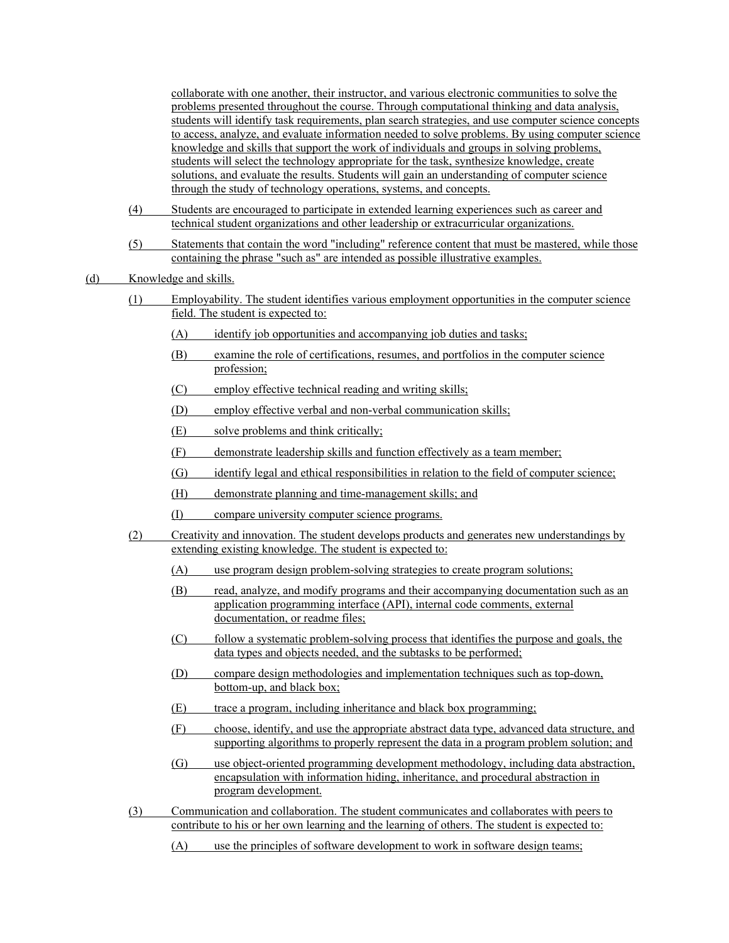collaborate with one another, their instructor, and various electronic communities to solve the problems presented throughout the course. Through computational thinking and data analysis, students will identify task requirements, plan search strategies, and use computer science concepts to access, analyze, and evaluate information needed to solve problems. By using computer science knowledge and skills that support the work of individuals and groups in solving problems, students will select the technology appropriate for the task, synthesize knowledge, create solutions, and evaluate the results. Students will gain an understanding of computer science through the study of technology operations, systems, and concepts.

- (4) Students are encouraged to participate in extended learning experiences such as career and technical student organizations and other leadership or extracurricular organizations.
- (5) Statements that contain the word "including" reference content that must be mastered, while those containing the phrase "such as" are intended as possible illustrative examples.

## (d) Knowledge and skills.

- (1) Employability. The student identifies various employment opportunities in the computer science field. The student is expected to:
	- (A) identify job opportunities and accompanying job duties and tasks;
	- (B) examine the role of certifications, resumes, and portfolios in the computer science profession;
	- (C) employ effective technical reading and writing skills;
	- (D) employ effective verbal and non-verbal communication skills;
	- (E) solve problems and think critically;
	- (F) demonstrate leadership skills and function effectively as a team member;
	- (G) identify legal and ethical responsibilities in relation to the field of computer science;
	- (H) demonstrate planning and time-management skills; and
	- (I) compare university computer science programs.
- (2) Creativity and innovation. The student develops products and generates new understandings by extending existing knowledge. The student is expected to:
	- (A) use program design problem-solving strategies to create program solutions;
	- (B) read, analyze, and modify programs and their accompanying documentation such as an application programming interface (API), internal code comments, external documentation, or readme files;
	- (C) follow a systematic problem-solving process that identifies the purpose and goals, the data types and objects needed, and the subtasks to be performed;
	- (D) compare design methodologies and implementation techniques such as top-down, bottom-up, and black box;
	- (E) trace a program, including inheritance and black box programming;
	- (F) choose, identify, and use the appropriate abstract data type, advanced data structure, and supporting algorithms to properly represent the data in a program problem solution; and
	- (G) use object-oriented programming development methodology, including data abstraction, encapsulation with information hiding, inheritance, and procedural abstraction in program development.
- (3) Communication and collaboration. The student communicates and collaborates with peers to contribute to his or her own learning and the learning of others. The student is expected to:
	- (A) use the principles of software development to work in software design teams;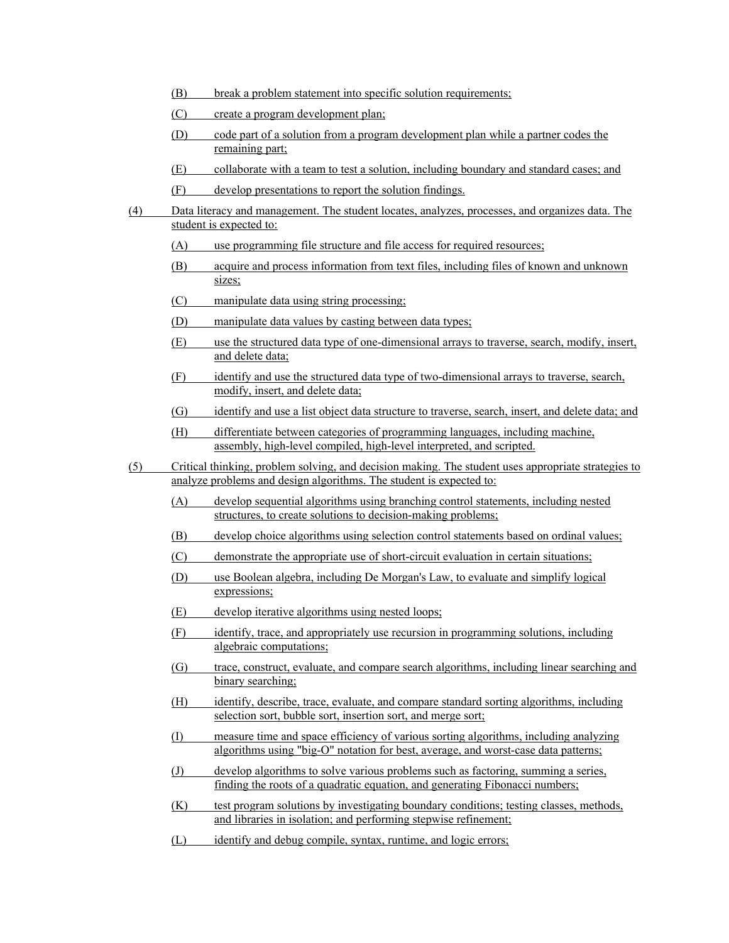- (B) break a problem statement into specific solution requirements;
- (C) create a program development plan;
- (D) code part of a solution from a program development plan while a partner codes the remaining part;
- (E) collaborate with a team to test a solution, including boundary and standard cases; and
- (F) develop presentations to report the solution findings.
- (4) Data literacy and management. The student locates, analyzes, processes, and organizes data. The student is expected to:
	- (A) use programming file structure and file access for required resources;
	- (B) acquire and process information from text files, including files of known and unknown sizes;
	- (C) manipulate data using string processing;
	- (D) manipulate data values by casting between data types;
	- (E) use the structured data type of one-dimensional arrays to traverse, search, modify, insert, and delete data;
	- (F) identify and use the structured data type of two-dimensional arrays to traverse, search, modify, insert, and delete data;
	- (G) identify and use a list object data structure to traverse, search, insert, and delete data; and
	- (H) differentiate between categories of programming languages, including machine, assembly, high-level compiled, high-level interpreted, and scripted.
- (5) Critical thinking, problem solving, and decision making. The student uses appropriate strategies to analyze problems and design algorithms. The student is expected to:
	- (A) develop sequential algorithms using branching control statements, including nested structures, to create solutions to decision-making problems;
	- (B) develop choice algorithms using selection control statements based on ordinal values;
	- (C) demonstrate the appropriate use of short-circuit evaluation in certain situations;
	- (D) use Boolean algebra, including De Morgan's Law, to evaluate and simplify logical expressions;
	- (E) develop iterative algorithms using nested loops;
	- (F) identify, trace, and appropriately use recursion in programming solutions, including algebraic computations;
	- (G) trace, construct, evaluate, and compare search algorithms, including linear searching and binary searching;
	- (H) identify, describe, trace, evaluate, and compare standard sorting algorithms, including selection sort, bubble sort, insertion sort, and merge sort;
	- (I) measure time and space efficiency of various sorting algorithms, including analyzing algorithms using "big-O" notation for best, average, and worst-case data patterns;
	- (J) develop algorithms to solve various problems such as factoring, summing a series, finding the roots of a quadratic equation, and generating Fibonacci numbers;
	- (K) test program solutions by investigating boundary conditions; testing classes, methods, and libraries in isolation; and performing stepwise refinement;
	- (L) identify and debug compile, syntax, runtime, and logic errors;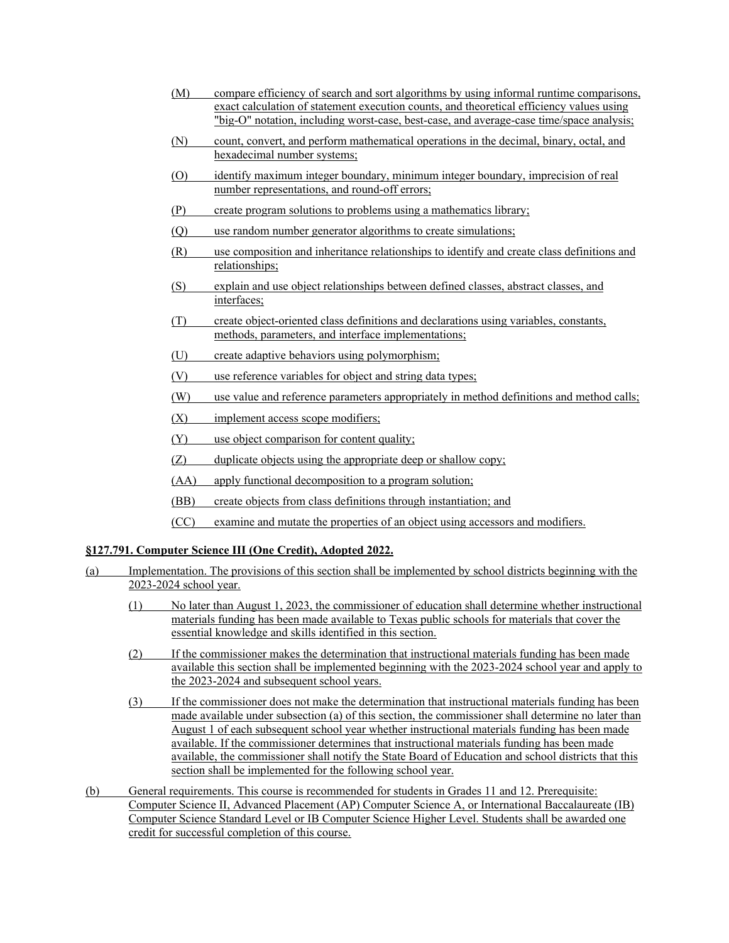- (M) compare efficiency of search and sort algorithms by using informal runtime comparisons, exact calculation of statement execution counts, and theoretical efficiency values using "big-O" notation, including worst-case, best-case, and average-case time/space analysis;
- (N) count, convert, and perform mathematical operations in the decimal, binary, octal, and hexadecimal number systems;
- (O) identify maximum integer boundary, minimum integer boundary, imprecision of real number representations, and round-off errors;
- (P) create program solutions to problems using a mathematics library;
- (Q) use random number generator algorithms to create simulations;
- (R) use composition and inheritance relationships to identify and create class definitions and relationships;
- (S) explain and use object relationships between defined classes, abstract classes, and interfaces;
- (T) create object-oriented class definitions and declarations using variables, constants, methods, parameters, and interface implementations;
- (U) create adaptive behaviors using polymorphism;
- (V) use reference variables for object and string data types;
- (W) use value and reference parameters appropriately in method definitions and method calls;
- (X) implement access scope modifiers;
- (Y) use object comparison for content quality;
- (Z) duplicate objects using the appropriate deep or shallow copy;
- (AA) apply functional decomposition to a program solution;
- (BB) create objects from class definitions through instantiation; and
- (CC) examine and mutate the properties of an object using accessors and modifiers.

# **§127.791. Computer Science III (One Credit), Adopted 2022.**

- (a) Implementation. The provisions of this section shall be implemented by school districts beginning with the 2023-2024 school year.
	- (1) No later than August 1, 2023, the commissioner of education shall determine whether instructional materials funding has been made available to Texas public schools for materials that cover the essential knowledge and skills identified in this section.
	- (2) If the commissioner makes the determination that instructional materials funding has been made available this section shall be implemented beginning with the 2023-2024 school year and apply to the 2023-2024 and subsequent school years.
	- (3) If the commissioner does not make the determination that instructional materials funding has been made available under subsection (a) of this section, the commissioner shall determine no later than August 1 of each subsequent school year whether instructional materials funding has been made available. If the commissioner determines that instructional materials funding has been made available, the commissioner shall notify the State Board of Education and school districts that this section shall be implemented for the following school year.
- (b) General requirements. This course is recommended for students in Grades 11 and 12. Prerequisite: Computer Science II, Advanced Placement (AP) Computer Science A, or International Baccalaureate (IB) Computer Science Standard Level or IB Computer Science Higher Level. Students shall be awarded one credit for successful completion of this course.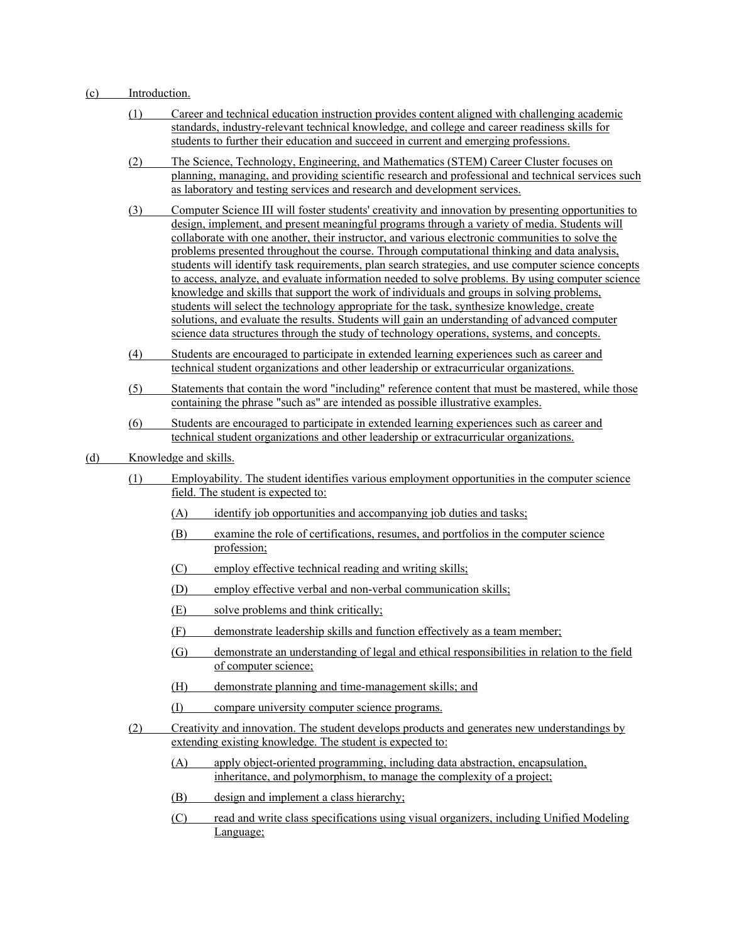#### (c) Introduction.

- (1) Career and technical education instruction provides content aligned with challenging academic standards, industry-relevant technical knowledge, and college and career readiness skills for students to further their education and succeed in current and emerging professions.
- (2) The Science, Technology, Engineering, and Mathematics (STEM) Career Cluster focuses on planning, managing, and providing scientific research and professional and technical services such as laboratory and testing services and research and development services.
- (3) Computer Science III will foster students' creativity and innovation by presenting opportunities to design, implement, and present meaningful programs through a variety of media. Students will collaborate with one another, their instructor, and various electronic communities to solve the problems presented throughout the course. Through computational thinking and data analysis, students will identify task requirements, plan search strategies, and use computer science concepts to access, analyze, and evaluate information needed to solve problems. By using computer science knowledge and skills that support the work of individuals and groups in solving problems, students will select the technology appropriate for the task, synthesize knowledge, create solutions, and evaluate the results. Students will gain an understanding of advanced computer science data structures through the study of technology operations, systems, and concepts.
- (4) Students are encouraged to participate in extended learning experiences such as career and technical student organizations and other leadership or extracurricular organizations.
- (5) Statements that contain the word "including" reference content that must be mastered, while those containing the phrase "such as" are intended as possible illustrative examples.
- (6) Students are encouraged to participate in extended learning experiences such as career and technical student organizations and other leadership or extracurricular organizations.

## (d) Knowledge and skills.

- (1) Employability. The student identifies various employment opportunities in the computer science field. The student is expected to:
	- (A) identify job opportunities and accompanying job duties and tasks;
	- (B) examine the role of certifications, resumes, and portfolios in the computer science profession;
	- (C) employ effective technical reading and writing skills;
	- (D) employ effective verbal and non-verbal communication skills;
	- (E) solve problems and think critically;
	- (F) demonstrate leadership skills and function effectively as a team member;
	- (G) demonstrate an understanding of legal and ethical responsibilities in relation to the field of computer science;
	- (H) demonstrate planning and time-management skills; and
	- (I) compare university computer science programs.
- (2) Creativity and innovation. The student develops products and generates new understandings by extending existing knowledge. The student is expected to:
	- (A) apply object-oriented programming, including data abstraction, encapsulation, inheritance, and polymorphism, to manage the complexity of a project;
	- (B) design and implement a class hierarchy;
	- (C) read and write class specifications using visual organizers, including Unified Modeling Language;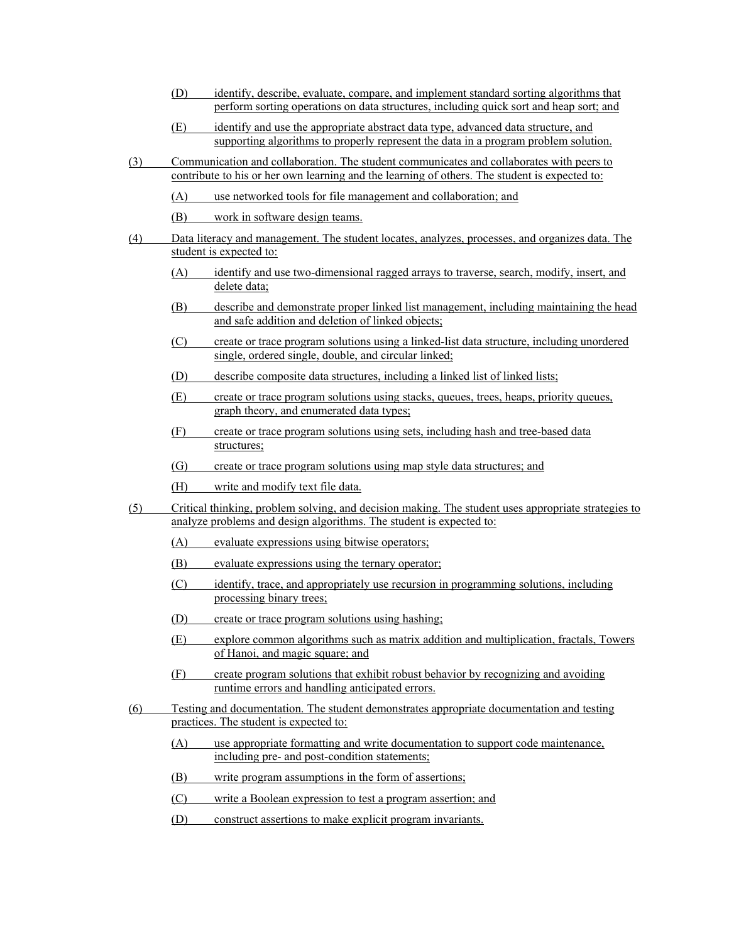- (D) identify, describe, evaluate, compare, and implement standard sorting algorithms that perform sorting operations on data structures, including quick sort and heap sort; and
- (E) identify and use the appropriate abstract data type, advanced data structure, and supporting algorithms to properly represent the data in a program problem solution.
- (3) Communication and collaboration. The student communicates and collaborates with peers to contribute to his or her own learning and the learning of others. The student is expected to:
	- (A) use networked tools for file management and collaboration; and
	- (B) work in software design teams.
- (4) Data literacy and management. The student locates, analyzes, processes, and organizes data. The student is expected to:
	- (A) identify and use two-dimensional ragged arrays to traverse, search, modify, insert, and delete data;
	- (B) describe and demonstrate proper linked list management, including maintaining the head and safe addition and deletion of linked objects;
	- (C) create or trace program solutions using a linked-list data structure, including unordered single, ordered single, double, and circular linked;
	- (D) describe composite data structures, including a linked list of linked lists;
	- (E) create or trace program solutions using stacks, queues, trees, heaps, priority queues, graph theory, and enumerated data types;
	- (F) create or trace program solutions using sets, including hash and tree-based data structures;
	- (G) create or trace program solutions using map style data structures; and
	- (H) write and modify text file data.
- (5) Critical thinking, problem solving, and decision making. The student uses appropriate strategies to analyze problems and design algorithms. The student is expected to:
	- (A) evaluate expressions using bitwise operators;
	- (B) evaluate expressions using the ternary operator;
	- (C) identify, trace, and appropriately use recursion in programming solutions, including processing binary trees;
	- (D) create or trace program solutions using hashing;
	- (E) explore common algorithms such as matrix addition and multiplication, fractals, Towers of Hanoi, and magic square; and
	- (F) create program solutions that exhibit robust behavior by recognizing and avoiding runtime errors and handling anticipated errors.
- (6) Testing and documentation. The student demonstrates appropriate documentation and testing practices. The student is expected to:
	- (A) use appropriate formatting and write documentation to support code maintenance, including pre- and post-condition statements;
	- (B) write program assumptions in the form of assertions;
	- (C) write a Boolean expression to test a program assertion; and
	- (D) construct assertions to make explicit program invariants.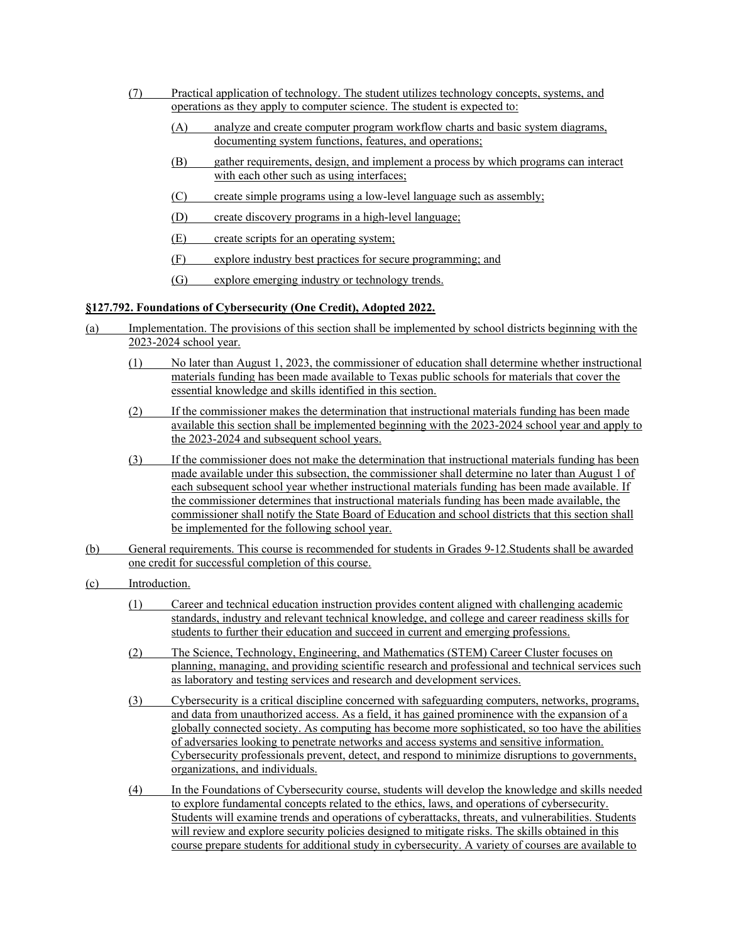- (7) Practical application of technology. The student utilizes technology concepts, systems, and operations as they apply to computer science. The student is expected to:
	- (A) analyze and create computer program workflow charts and basic system diagrams, documenting system functions, features, and operations;
	- (B) gather requirements, design, and implement a process by which programs can interact with each other such as using interfaces;
	- $(C)$  create simple programs using a low-level language such as assembly;
	- (D) create discovery programs in a high-level language;
	- (E) create scripts for an operating system;
	- (F) explore industry best practices for secure programming; and
	- (G) explore emerging industry or technology trends.

# **§127.792. Foundations of Cybersecurity (One Credit), Adopted 2022.**

- (a) Implementation. The provisions of this section shall be implemented by school districts beginning with the 2023-2024 school year.
	- (1) No later than August 1, 2023, the commissioner of education shall determine whether instructional materials funding has been made available to Texas public schools for materials that cover the essential knowledge and skills identified in this section.
	- (2) If the commissioner makes the determination that instructional materials funding has been made available this section shall be implemented beginning with the 2023-2024 school year and apply to the 2023-2024 and subsequent school years.
	- (3) If the commissioner does not make the determination that instructional materials funding has been made available under this subsection, the commissioner shall determine no later than August 1 of each subsequent school year whether instructional materials funding has been made available. If the commissioner determines that instructional materials funding has been made available, the commissioner shall notify the State Board of Education and school districts that this section shall be implemented for the following school year.
- (b) General requirements. This course is recommended for students in Grades 9-12.Students shall be awarded one credit for successful completion of this course.
- (c) Introduction.
	- (1) Career and technical education instruction provides content aligned with challenging academic standards, industry and relevant technical knowledge, and college and career readiness skills for students to further their education and succeed in current and emerging professions.
	- (2) The Science, Technology, Engineering, and Mathematics (STEM) Career Cluster focuses on planning, managing, and providing scientific research and professional and technical services such as laboratory and testing services and research and development services.
	- (3) Cybersecurity is a critical discipline concerned with safeguarding computers, networks, programs, and data from unauthorized access. As a field, it has gained prominence with the expansion of a globally connected society. As computing has become more sophisticated, so too have the abilities of adversaries looking to penetrate networks and access systems and sensitive information. Cybersecurity professionals prevent, detect, and respond to minimize disruptions to governments, organizations, and individuals.
	- (4) In the Foundations of Cybersecurity course, students will develop the knowledge and skills needed to explore fundamental concepts related to the ethics, laws, and operations of cybersecurity. Students will examine trends and operations of cyberattacks, threats, and vulnerabilities. Students will review and explore security policies designed to mitigate risks. The skills obtained in this course prepare students for additional study in cybersecurity. A variety of courses are available to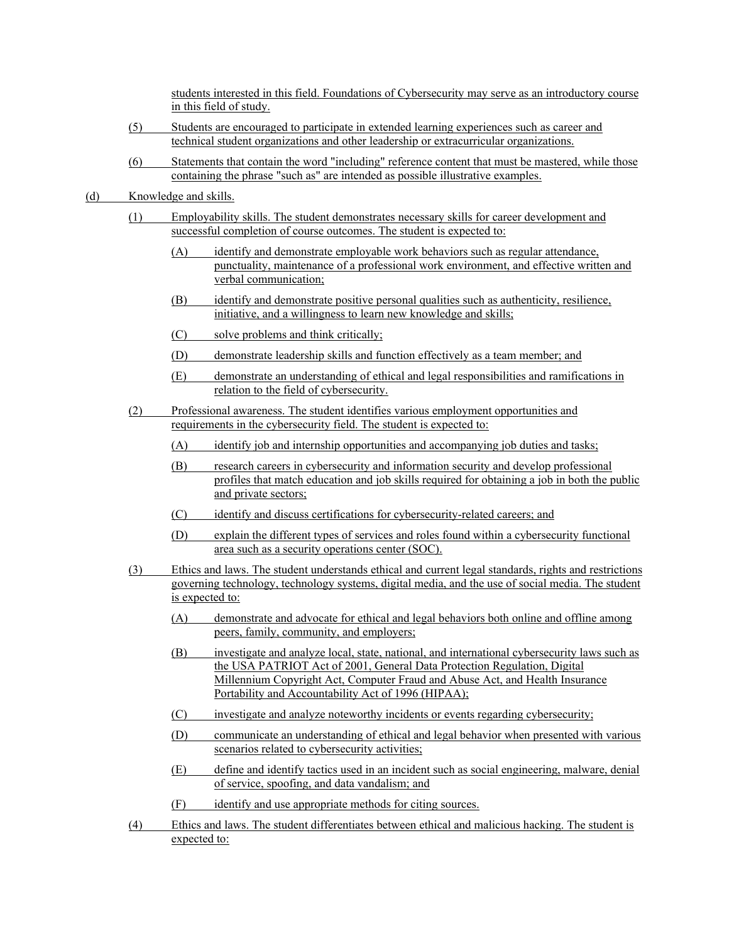students interested in this field. Foundations of Cybersecurity may serve as an introductory course in this field of study.

- (5) Students are encouraged to participate in extended learning experiences such as career and technical student organizations and other leadership or extracurricular organizations.
- (6) Statements that contain the word "including" reference content that must be mastered, while those containing the phrase "such as" are intended as possible illustrative examples.
- (d) Knowledge and skills.
	- (1) Employability skills. The student demonstrates necessary skills for career development and successful completion of course outcomes. The student is expected to:
		- (A) identify and demonstrate employable work behaviors such as regular attendance, punctuality, maintenance of a professional work environment, and effective written and verbal communication;
		- (B) identify and demonstrate positive personal qualities such as authenticity, resilience, initiative, and a willingness to learn new knowledge and skills;
		- (C) solve problems and think critically;
		- (D) demonstrate leadership skills and function effectively as a team member; and
		- (E) demonstrate an understanding of ethical and legal responsibilities and ramifications in relation to the field of cybersecurity.
	- (2) Professional awareness. The student identifies various employment opportunities and requirements in the cybersecurity field. The student is expected to:
		- (A) identify job and internship opportunities and accompanying job duties and tasks;
		- (B) research careers in cybersecurity and information security and develop professional profiles that match education and job skills required for obtaining a job in both the public and private sectors;
		- (C) identify and discuss certifications for cybersecurity-related careers; and
		- (D) explain the different types of services and roles found within a cybersecurity functional area such as a security operations center (SOC).
	- (3) Ethics and laws. The student understands ethical and current legal standards, rights and restrictions governing technology, technology systems, digital media, and the use of social media. The student is expected to:
		- (A) demonstrate and advocate for ethical and legal behaviors both online and offline among peers, family, community, and employers;
		- (B) investigate and analyze local, state, national, and international cybersecurity laws such as the USA PATRIOT Act of 2001, General Data Protection Regulation, Digital Millennium Copyright Act, Computer Fraud and Abuse Act, and Health Insurance Portability and Accountability Act of 1996 (HIPAA);
		- (C) investigate and analyze noteworthy incidents or events regarding cybersecurity;
		- (D) communicate an understanding of ethical and legal behavior when presented with various scenarios related to cybersecurity activities;
		- (E) define and identify tactics used in an incident such as social engineering, malware, denial of service, spoofing, and data vandalism; and
		- (F) identify and use appropriate methods for citing sources.
	- (4) Ethics and laws. The student differentiates between ethical and malicious hacking. The student is expected to: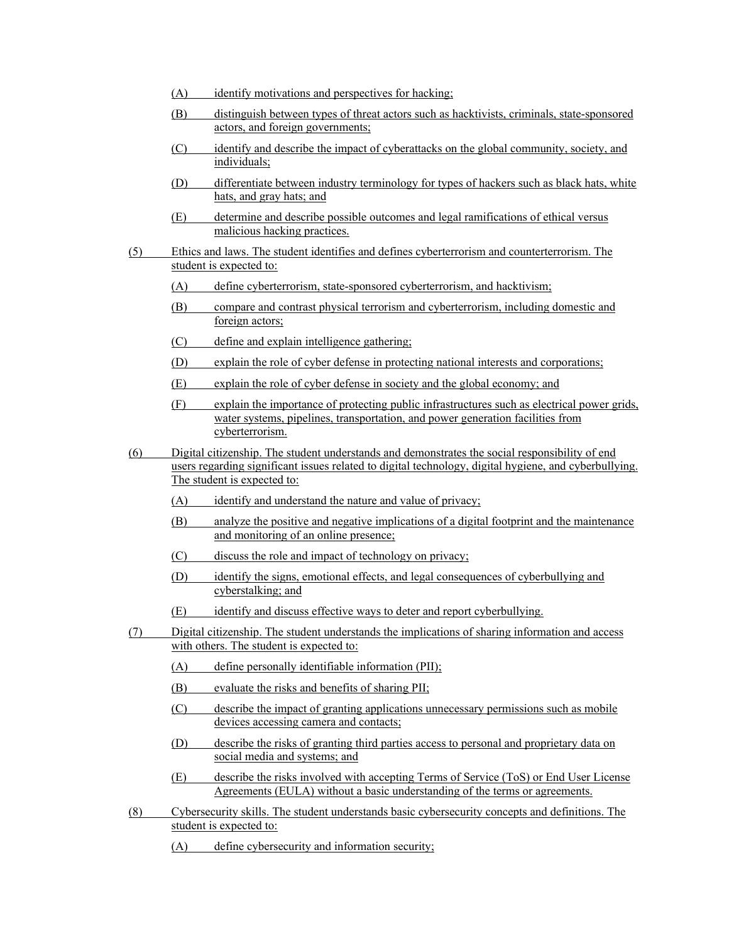- (A) identify motivations and perspectives for hacking;
- (B) distinguish between types of threat actors such as hacktivists, criminals, state-sponsored actors, and foreign governments;
- (C) identify and describe the impact of cyberattacks on the global community, society, and individuals;
- (D) differentiate between industry terminology for types of hackers such as black hats, white hats, and gray hats; and
- (E) determine and describe possible outcomes and legal ramifications of ethical versus malicious hacking practices.
- (5) Ethics and laws. The student identifies and defines cyberterrorism and counterterrorism. The student is expected to:
	- (A) define cyberterrorism, state-sponsored cyberterrorism, and hacktivism;
	- (B) compare and contrast physical terrorism and cyberterrorism, including domestic and foreign actors;
	- (C) define and explain intelligence gathering;
	- (D) explain the role of cyber defense in protecting national interests and corporations;
	- (E) explain the role of cyber defense in society and the global economy; and
	- (F) explain the importance of protecting public infrastructures such as electrical power grids, water systems, pipelines, transportation, and power generation facilities from cyberterrorism.
- (6) Digital citizenship. The student understands and demonstrates the social responsibility of end users regarding significant issues related to digital technology, digital hygiene, and cyberbullying. The student is expected to:
	- (A) identify and understand the nature and value of privacy;
	- (B) analyze the positive and negative implications of a digital footprint and the maintenance and monitoring of an online presence;
	- (C) discuss the role and impact of technology on privacy;
	- (D) identify the signs, emotional effects, and legal consequences of cyberbullying and cyberstalking; and
	- (E) identify and discuss effective ways to deter and report cyberbullying.
- (7) Digital citizenship. The student understands the implications of sharing information and access with others. The student is expected to:
	- (A) define personally identifiable information (PII);
	- (B) evaluate the risks and benefits of sharing PII;
	- (C) describe the impact of granting applications unnecessary permissions such as mobile devices accessing camera and contacts;
	- (D) describe the risks of granting third parties access to personal and proprietary data on social media and systems; and
	- (E) describe the risks involved with accepting Terms of Service (ToS) or End User License Agreements (EULA) without a basic understanding of the terms or agreements.
- (8) Cybersecurity skills. The student understands basic cybersecurity concepts and definitions. The student is expected to:
	- (A) define cybersecurity and information security;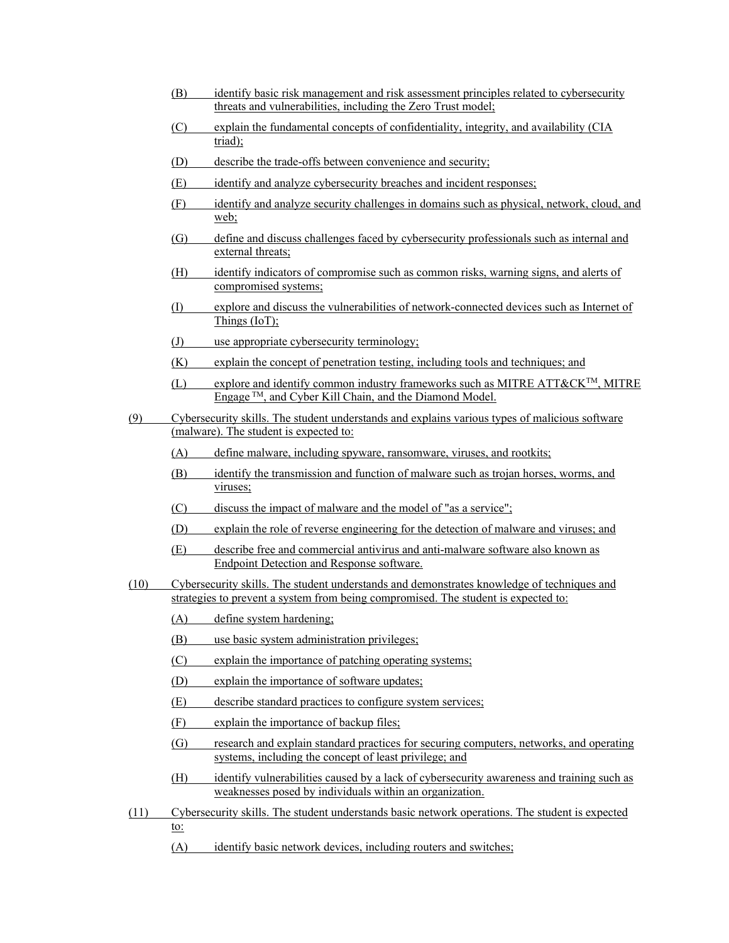- (B) identify basic risk management and risk assessment principles related to cybersecurity threats and vulnerabilities, including the Zero Trust model;
- (C) explain the fundamental concepts of confidentiality, integrity, and availability (CIA triad);
- (D) describe the trade-offs between convenience and security;
- (E) identify and analyze cybersecurity breaches and incident responses;
- (F) identify and analyze security challenges in domains such as physical, network, cloud, and web;
- (G) define and discuss challenges faced by cybersecurity professionals such as internal and external threats;
- (H) identify indicators of compromise such as common risks, warning signs, and alerts of compromised systems;
- (I) explore and discuss the vulnerabilities of network-connected devices such as Internet of Things (IoT);
- (J) use appropriate cybersecurity terminology;
- (K) explain the concept of penetration testing, including tools and techniques; and
- $(L)$  explore and identify common industry frameworks such as MITRE ATT&CK<sup>TM</sup>, MITRE Engage TM, and Cyber Kill Chain, and the Diamond Model.
- (9) Cybersecurity skills. The student understands and explains various types of malicious software (malware). The student is expected to:
	- (A) define malware, including spyware, ransomware, viruses, and rootkits;
	- (B) identify the transmission and function of malware such as trojan horses, worms, and viruses;
	- (C) discuss the impact of malware and the model of "as a service";
	- (D) explain the role of reverse engineering for the detection of malware and viruses; and
	- (E) describe free and commercial antivirus and anti-malware software also known as Endpoint Detection and Response software.
- (10) Cybersecurity skills. The student understands and demonstrates knowledge of techniques and strategies to prevent a system from being compromised. The student is expected to:
	- (A) define system hardening;
	- (B) use basic system administration privileges;
	- (C) explain the importance of patching operating systems;
	- (D) explain the importance of software updates;
	- (E) describe standard practices to configure system services;
	- (F) explain the importance of backup files;
	- (G) research and explain standard practices for securing computers, networks, and operating systems, including the concept of least privilege; and
	- (H) identify vulnerabilities caused by a lack of cybersecurity awareness and training such as weaknesses posed by individuals within an organization.
- (11) Cybersecurity skills. The student understands basic network operations. The student is expected to:
	- (A) identify basic network devices, including routers and switches;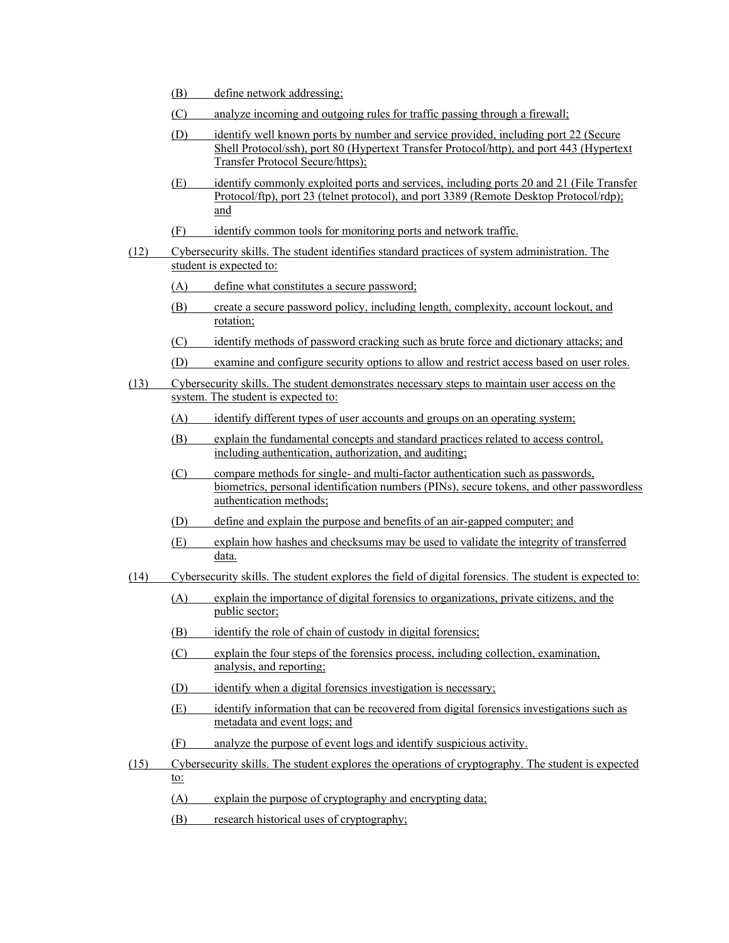- (B) define network addressing;
- (C) analyze incoming and outgoing rules for traffic passing through a firewall;
- (D) identify well known ports by number and service provided, including port 22 (Secure Shell Protocol/ssh), port 80 (Hypertext Transfer Protocol/http), and port 443 (Hypertext Transfer Protocol Secure/https);
- (E) identify commonly exploited ports and services, including ports 20 and 21 (File Transfer Protocol/ftp), port 23 (telnet protocol), and port 3389 (Remote Desktop Protocol/rdp); and
- (F) identify common tools for monitoring ports and network traffic.
- (12) Cybersecurity skills. The student identifies standard practices of system administration. The student is expected to:
	- (A) define what constitutes a secure password;
	- (B) create a secure password policy, including length, complexity, account lockout, and rotation;
	- (C) identify methods of password cracking such as brute force and dictionary attacks; and
	- (D) examine and configure security options to allow and restrict access based on user roles.
- (13) Cybersecurity skills. The student demonstrates necessary steps to maintain user access on the system. The student is expected to:
	- (A) identify different types of user accounts and groups on an operating system;
	- (B) explain the fundamental concepts and standard practices related to access control, including authentication, authorization, and auditing;
	- (C) compare methods for single- and multi-factor authentication such as passwords, biometrics, personal identification numbers (PINs), secure tokens, and other passwordless authentication methods;
	- (D) define and explain the purpose and benefits of an air-gapped computer; and
	- (E) explain how hashes and checksums may be used to validate the integrity of transferred data.
- (14) Cybersecurity skills. The student explores the field of digital forensics. The student is expected to:
	- (A) explain the importance of digital forensics to organizations, private citizens, and the public sector;
	- (B) identify the role of chain of custody in digital forensics;
	- (C) explain the four steps of the forensics process, including collection, examination, analysis, and reporting;
	- (D) identify when a digital forensics investigation is necessary;
	- (E) identify information that can be recovered from digital forensics investigations such as metadata and event logs; and
	- (F) analyze the purpose of event logs and identify suspicious activity.
- (15) Cybersecurity skills. The student explores the operations of cryptography. The student is expected to:
	- (A) explain the purpose of cryptography and encrypting data;
	- (B) research historical uses of cryptography;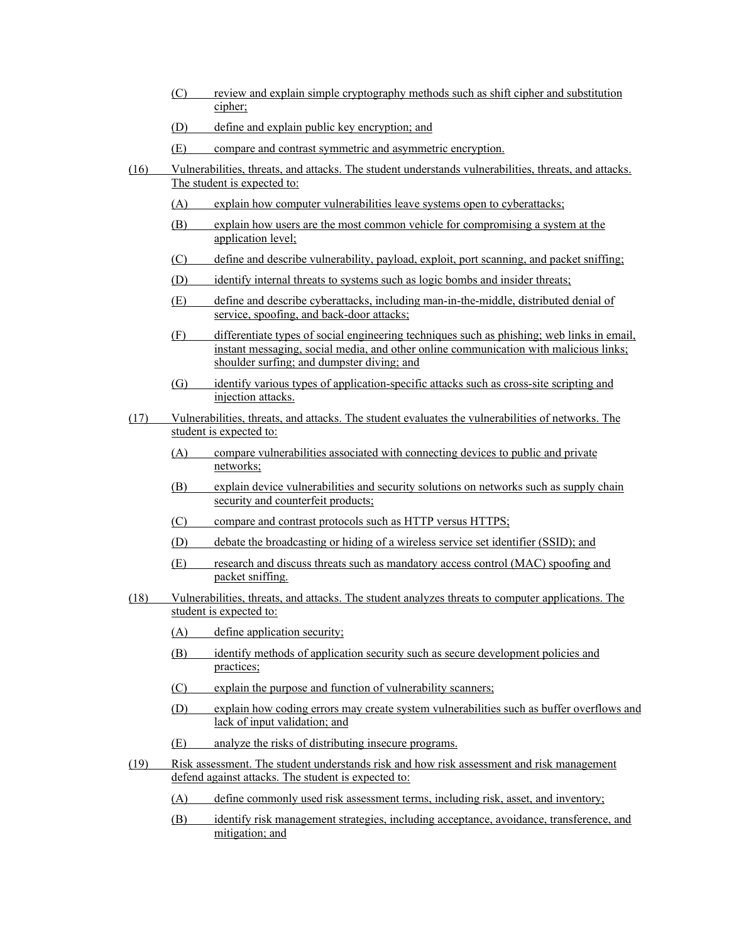- (C) review and explain simple cryptography methods such as shift cipher and substitution cipher;
- (D) define and explain public key encryption; and
- (E) compare and contrast symmetric and asymmetric encryption.
- (16) Vulnerabilities, threats, and attacks. The student understands vulnerabilities, threats, and attacks. The student is expected to:
	- (A) explain how computer vulnerabilities leave systems open to cyberattacks;
	- (B) explain how users are the most common vehicle for compromising a system at the application level;
	- (C) define and describe vulnerability, payload, exploit, port scanning, and packet sniffing;
	- (D) identify internal threats to systems such as logic bombs and insider threats;
	- (E) define and describe cyberattacks, including man-in-the-middle, distributed denial of service, spoofing, and back-door attacks;
	- (F) differentiate types of social engineering techniques such as phishing; web links in email, instant messaging, social media, and other online communication with malicious links; shoulder surfing; and dumpster diving; and
	- (G) identify various types of application-specific attacks such as cross-site scripting and injection attacks.
- (17) Vulnerabilities, threats, and attacks. The student evaluates the vulnerabilities of networks. The student is expected to:
	- (A) compare vulnerabilities associated with connecting devices to public and private networks;
	- (B) explain device vulnerabilities and security solutions on networks such as supply chain security and counterfeit products;
	- (C) compare and contrast protocols such as HTTP versus HTTPS;
	- (D) debate the broadcasting or hiding of a wireless service set identifier (SSID); and
	- (E) research and discuss threats such as mandatory access control (MAC) spoofing and packet sniffing.
- (18) Vulnerabilities, threats, and attacks. The student analyzes threats to computer applications. The student is expected to:
	- (A) define application security;
	- (B) identify methods of application security such as secure development policies and practices;
	- (C) explain the purpose and function of vulnerability scanners;
	- (D) explain how coding errors may create system vulnerabilities such as buffer overflows and lack of input validation; and
	- (E) analyze the risks of distributing insecure programs.
- (19) Risk assessment. The student understands risk and how risk assessment and risk management defend against attacks. The student is expected to:
	- (A) define commonly used risk assessment terms, including risk, asset, and inventory;
	- (B) identify risk management strategies, including acceptance, avoidance, transference, and mitigation; and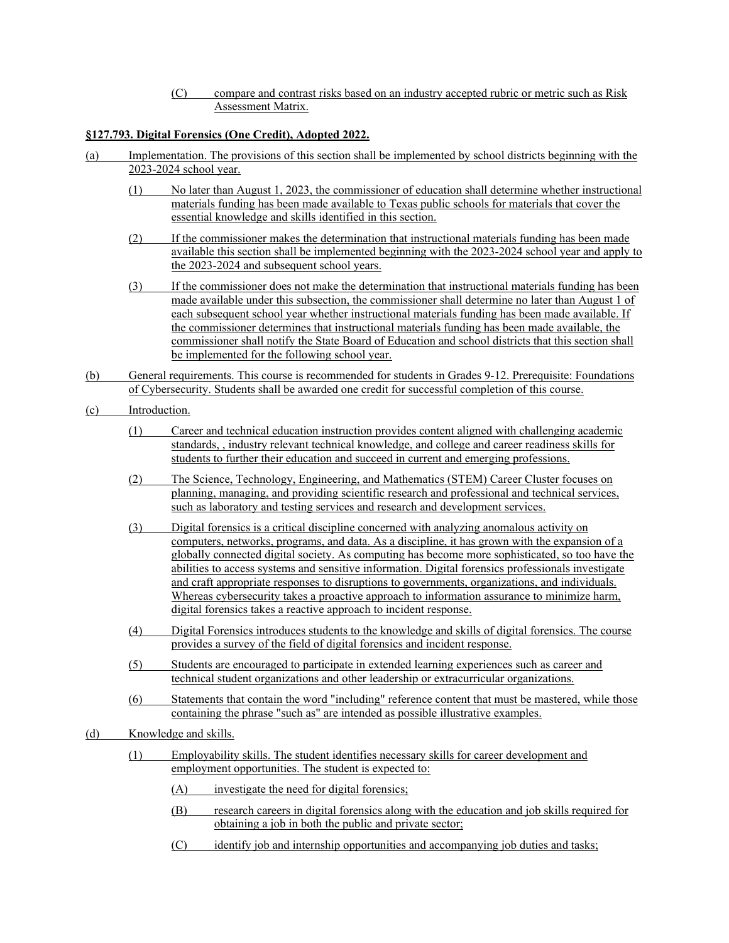(C) compare and contrast risks based on an industry accepted rubric or metric such as Risk Assessment Matrix.

# **§127.793. Digital Forensics (One Credit), Adopted 2022.**

- (a) Implementation. The provisions of this section shall be implemented by school districts beginning with the 2023-2024 school year.
	- (1) No later than August 1, 2023, the commissioner of education shall determine whether instructional materials funding has been made available to Texas public schools for materials that cover the essential knowledge and skills identified in this section.
	- (2) If the commissioner makes the determination that instructional materials funding has been made available this section shall be implemented beginning with the 2023-2024 school year and apply to the 2023-2024 and subsequent school years.
	- (3) If the commissioner does not make the determination that instructional materials funding has been made available under this subsection, the commissioner shall determine no later than August 1 of each subsequent school year whether instructional materials funding has been made available. If the commissioner determines that instructional materials funding has been made available, the commissioner shall notify the State Board of Education and school districts that this section shall be implemented for the following school year.
- (b) General requirements. This course is recommended for students in Grades 9-12. Prerequisite: Foundations of Cybersecurity. Students shall be awarded one credit for successful completion of this course.
- (c) Introduction.
	- (1) Career and technical education instruction provides content aligned with challenging academic standards, , industry relevant technical knowledge, and college and career readiness skills for students to further their education and succeed in current and emerging professions.
	- (2) The Science, Technology, Engineering, and Mathematics (STEM) Career Cluster focuses on planning, managing, and providing scientific research and professional and technical services, such as laboratory and testing services and research and development services.
	- (3) Digital forensics is a critical discipline concerned with analyzing anomalous activity on computers, networks, programs, and data. As a discipline, it has grown with the expansion of a globally connected digital society. As computing has become more sophisticated, so too have the abilities to access systems and sensitive information. Digital forensics professionals investigate and craft appropriate responses to disruptions to governments, organizations, and individuals. Whereas cybersecurity takes a proactive approach to information assurance to minimize harm, digital forensics takes a reactive approach to incident response.
	- (4) Digital Forensics introduces students to the knowledge and skills of digital forensics. The course provides a survey of the field of digital forensics and incident response.
	- (5) Students are encouraged to participate in extended learning experiences such as career and technical student organizations and other leadership or extracurricular organizations.
	- (6) Statements that contain the word "including" reference content that must be mastered, while those containing the phrase "such as" are intended as possible illustrative examples.
- (d) Knowledge and skills.
	- (1) Employability skills. The student identifies necessary skills for career development and employment opportunities. The student is expected to:
		- (A) investigate the need for digital forensics;
		- (B) research careers in digital forensics along with the education and job skills required for obtaining a job in both the public and private sector;
		- (C) identify job and internship opportunities and accompanying job duties and tasks;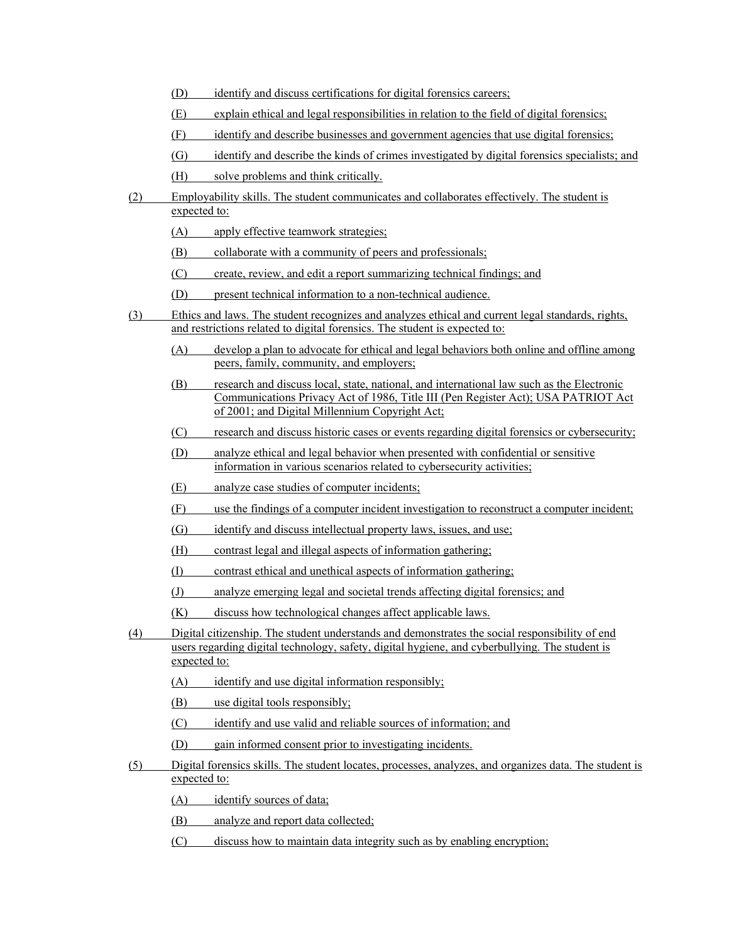- (D) identify and discuss certifications for digital forensics careers;
- (E) explain ethical and legal responsibilities in relation to the field of digital forensics;
- (F) identify and describe businesses and government agencies that use digital forensics;
- (G) identify and describe the kinds of crimes investigated by digital forensics specialists; and
- (H) solve problems and think critically.
- (2) Employability skills. The student communicates and collaborates effectively. The student is expected to:
	- (A) apply effective teamwork strategies;
	- (B) collaborate with a community of peers and professionals;
	- (C) create, review, and edit a report summarizing technical findings; and
	- (D) present technical information to a non-technical audience.
- (3) Ethics and laws. The student recognizes and analyzes ethical and current legal standards, rights, and restrictions related to digital forensics. The student is expected to:
	- (A) develop a plan to advocate for ethical and legal behaviors both online and offline among peers, family, community, and employers;
	- (B) research and discuss local, state, national, and international law such as the Electronic Communications Privacy Act of 1986, Title III (Pen Register Act); USA PATRIOT Act of 2001; and Digital Millennium Copyright Act;
	- (C) research and discuss historic cases or events regarding digital forensics or cybersecurity;
	- (D) analyze ethical and legal behavior when presented with confidential or sensitive information in various scenarios related to cybersecurity activities;
	- (E) analyze case studies of computer incidents;
	- (F) use the findings of a computer incident investigation to reconstruct a computer incident;
	- (G) identify and discuss intellectual property laws, issues, and use;
	- (H) contrast legal and illegal aspects of information gathering;
	- (I) contrast ethical and unethical aspects of information gathering;
	- (J) analyze emerging legal and societal trends affecting digital forensics; and
	- (K) discuss how technological changes affect applicable laws.
- (4) Digital citizenship. The student understands and demonstrates the social responsibility of end users regarding digital technology, safety, digital hygiene, and cyberbullying. The student is expected to:
	- (A) identify and use digital information responsibly;
	- (B) use digital tools responsibly;
	- (C) identify and use valid and reliable sources of information; and
	- (D) gain informed consent prior to investigating incidents.
- (5) Digital forensics skills. The student locates, processes, analyzes, and organizes data. The student is expected to:
	- (A) identify sources of data;
	- (B) analyze and report data collected;
	- (C) discuss how to maintain data integrity such as by enabling encryption;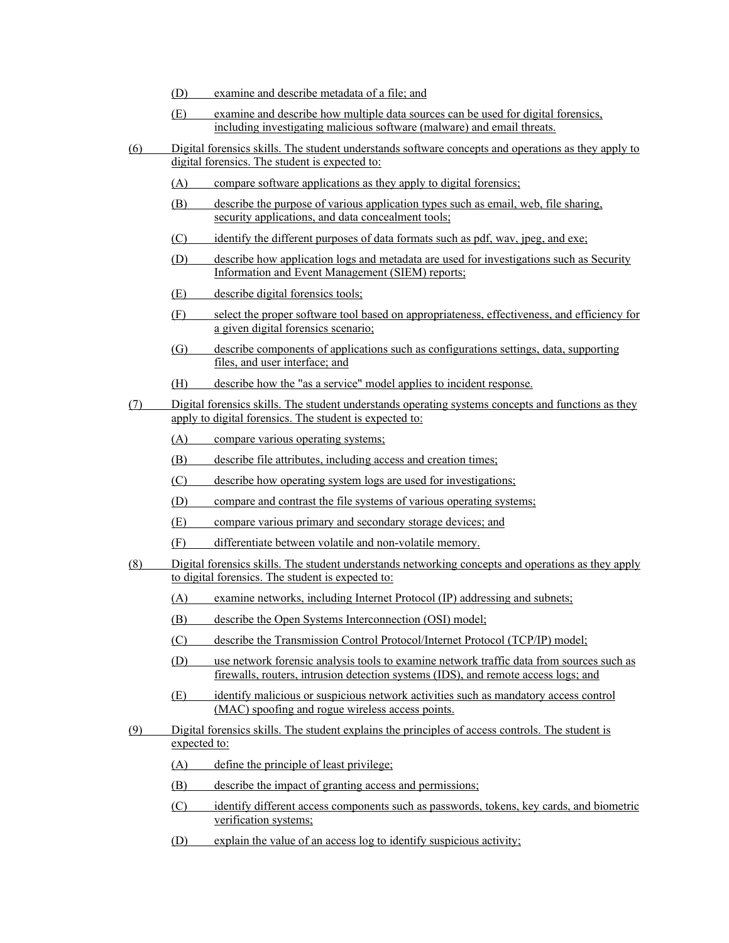- (D) examine and describe metadata of a file; and
- (E) examine and describe how multiple data sources can be used for digital forensics, including investigating malicious software (malware) and email threats.
- (6) Digital forensics skills. The student understands software concepts and operations as they apply to digital forensics. The student is expected to:
	- (A) compare software applications as they apply to digital forensics;
	- (B) describe the purpose of various application types such as email, web, file sharing, security applications, and data concealment tools;
	- (C) identify the different purposes of data formats such as pdf, wav, jpeg, and exe;
	- (D) describe how application logs and metadata are used for investigations such as Security Information and Event Management (SIEM) reports;
	- (E) describe digital forensics tools;
	- (F) select the proper software tool based on appropriateness, effectiveness, and efficiency for a given digital forensics scenario;
	- (G) describe components of applications such as configurations settings, data, supporting files, and user interface; and
	- (H) describe how the "as a service" model applies to incident response.
- (7) Digital forensics skills. The student understands operating systems concepts and functions as they apply to digital forensics. The student is expected to:
	- (A) compare various operating systems;
	- (B) describe file attributes, including access and creation times;
	- (C) describe how operating system logs are used for investigations;
	- (D) compare and contrast the file systems of various operating systems;
	- (E) compare various primary and secondary storage devices; and
	- (F) differentiate between volatile and non-volatile memory.
- (8) Digital forensics skills. The student understands networking concepts and operations as they apply to digital forensics. The student is expected to:
	- (A) examine networks, including Internet Protocol (IP) addressing and subnets;
	- (B) describe the Open Systems Interconnection (OSI) model;
	- (C) describe the Transmission Control Protocol/Internet Protocol (TCP/IP) model;
	- (D) use network forensic analysis tools to examine network traffic data from sources such as firewalls, routers, intrusion detection systems (IDS), and remote access logs; and
	- (E) identify malicious or suspicious network activities such as mandatory access control (MAC) spoofing and rogue wireless access points.
- (9) Digital forensics skills. The student explains the principles of access controls. The student is expected to:
	- (A) define the principle of least privilege;
	- (B) describe the impact of granting access and permissions;
	- (C) identify different access components such as passwords, tokens, key cards, and biometric verification systems;
	- (D) explain the value of an access log to identify suspicious activity;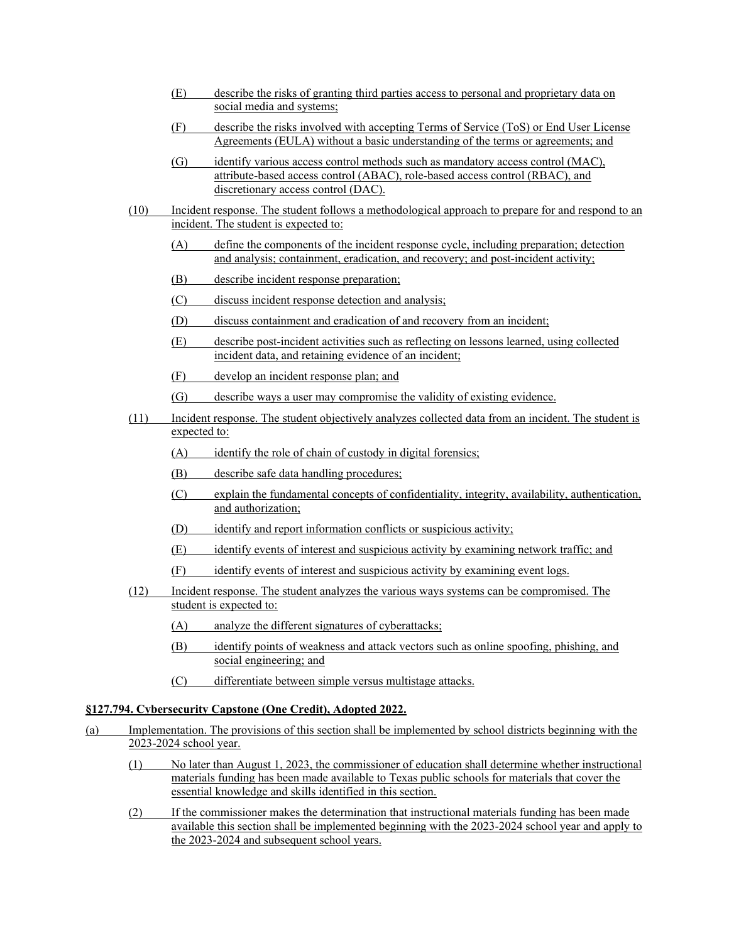- (E) describe the risks of granting third parties access to personal and proprietary data on social media and systems;
- (F) describe the risks involved with accepting Terms of Service (ToS) or End User License Agreements (EULA) without a basic understanding of the terms or agreements; and
- (G) identify various access control methods such as mandatory access control (MAC), attribute-based access control (ABAC), role-based access control (RBAC), and discretionary access control (DAC).
- (10) Incident response. The student follows a methodological approach to prepare for and respond to an incident. The student is expected to:
	- (A) define the components of the incident response cycle, including preparation; detection and analysis; containment, eradication, and recovery; and post-incident activity;
	- (B) describe incident response preparation;
	- (C) discuss incident response detection and analysis;
	- (D) discuss containment and eradication of and recovery from an incident;
	- (E) describe post-incident activities such as reflecting on lessons learned, using collected incident data, and retaining evidence of an incident;
	- (F) develop an incident response plan; and
	- (G) describe ways a user may compromise the validity of existing evidence.
- (11) Incident response. The student objectively analyzes collected data from an incident. The student is expected to:
	- (A) identify the role of chain of custody in digital forensics;
	- (B) describe safe data handling procedures;
	- (C) explain the fundamental concepts of confidentiality, integrity, availability, authentication, and authorization;
	- (D) identify and report information conflicts or suspicious activity;
	- (E) identify events of interest and suspicious activity by examining network traffic; and
	- (F) identify events of interest and suspicious activity by examining event logs.
- (12) Incident response. The student analyzes the various ways systems can be compromised. The student is expected to:
	- (A) analyze the different signatures of cyberattacks;
	- (B) identify points of weakness and attack vectors such as online spoofing, phishing, and social engineering; and
	- (C) differentiate between simple versus multistage attacks.

### **§127.794. Cybersecurity Capstone (One Credit), Adopted 2022.**

- (a) Implementation. The provisions of this section shall be implemented by school districts beginning with the 2023-2024 school year.
	- (1) No later than August 1, 2023, the commissioner of education shall determine whether instructional materials funding has been made available to Texas public schools for materials that cover the essential knowledge and skills identified in this section.
	- (2) If the commissioner makes the determination that instructional materials funding has been made available this section shall be implemented beginning with the 2023-2024 school year and apply to the 2023-2024 and subsequent school years.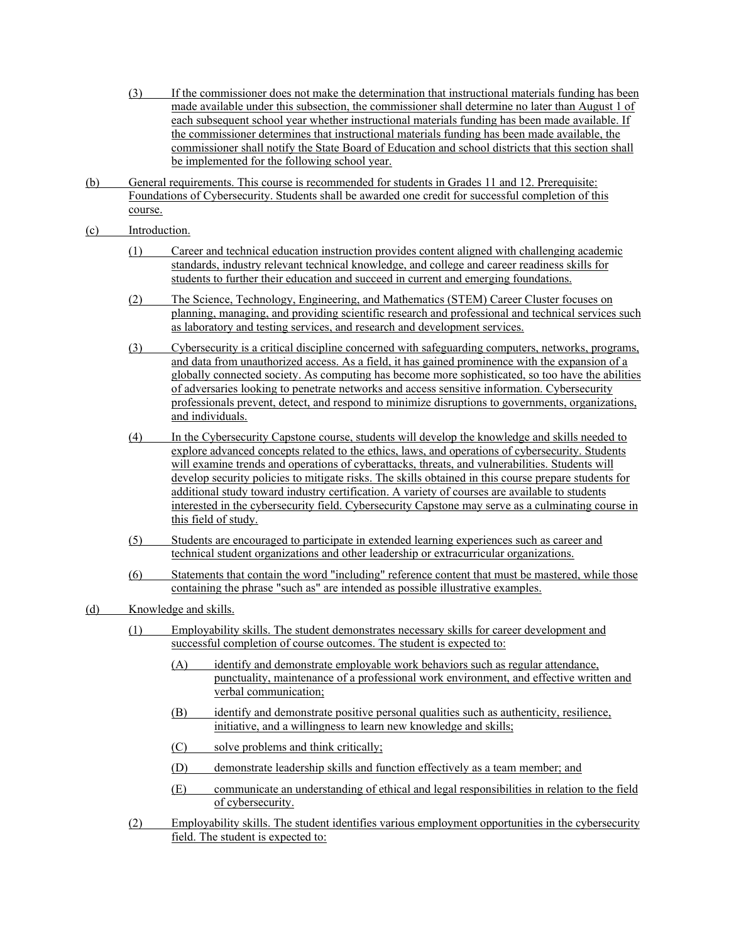- (3) If the commissioner does not make the determination that instructional materials funding has been made available under this subsection, the commissioner shall determine no later than August 1 of each subsequent school year whether instructional materials funding has been made available. If the commissioner determines that instructional materials funding has been made available, the commissioner shall notify the State Board of Education and school districts that this section shall be implemented for the following school year.
- (b) General requirements. This course is recommended for students in Grades 11 and 12. Prerequisite: Foundations of Cybersecurity. Students shall be awarded one credit for successful completion of this course.
- (c) Introduction.
	- (1) Career and technical education instruction provides content aligned with challenging academic standards, industry relevant technical knowledge, and college and career readiness skills for students to further their education and succeed in current and emerging foundations.
	- (2) The Science, Technology, Engineering, and Mathematics (STEM) Career Cluster focuses on planning, managing, and providing scientific research and professional and technical services such as laboratory and testing services, and research and development services.
	- (3) Cybersecurity is a critical discipline concerned with safeguarding computers, networks, programs, and data from unauthorized access. As a field, it has gained prominence with the expansion of a globally connected society. As computing has become more sophisticated, so too have the abilities of adversaries looking to penetrate networks and access sensitive information. Cybersecurity professionals prevent, detect, and respond to minimize disruptions to governments, organizations, and individuals.
	- (4) In the Cybersecurity Capstone course, students will develop the knowledge and skills needed to explore advanced concepts related to the ethics, laws, and operations of cybersecurity. Students will examine trends and operations of cyberattacks, threats, and vulnerabilities. Students will develop security policies to mitigate risks. The skills obtained in this course prepare students for additional study toward industry certification. A variety of courses are available to students interested in the cybersecurity field. Cybersecurity Capstone may serve as a culminating course in this field of study.
	- (5) Students are encouraged to participate in extended learning experiences such as career and technical student organizations and other leadership or extracurricular organizations.
	- (6) Statements that contain the word "including" reference content that must be mastered, while those containing the phrase "such as" are intended as possible illustrative examples.
- (d) Knowledge and skills.
	- (1) Employability skills. The student demonstrates necessary skills for career development and successful completion of course outcomes. The student is expected to:
		- (A) identify and demonstrate employable work behaviors such as regular attendance, punctuality, maintenance of a professional work environment, and effective written and verbal communication;
		- (B) identify and demonstrate positive personal qualities such as authenticity, resilience, initiative, and a willingness to learn new knowledge and skills;
		- (C) solve problems and think critically;
		- (D) demonstrate leadership skills and function effectively as a team member; and
		- (E) communicate an understanding of ethical and legal responsibilities in relation to the field of cybersecurity.
	- (2) Employability skills. The student identifies various employment opportunities in the cybersecurity field. The student is expected to: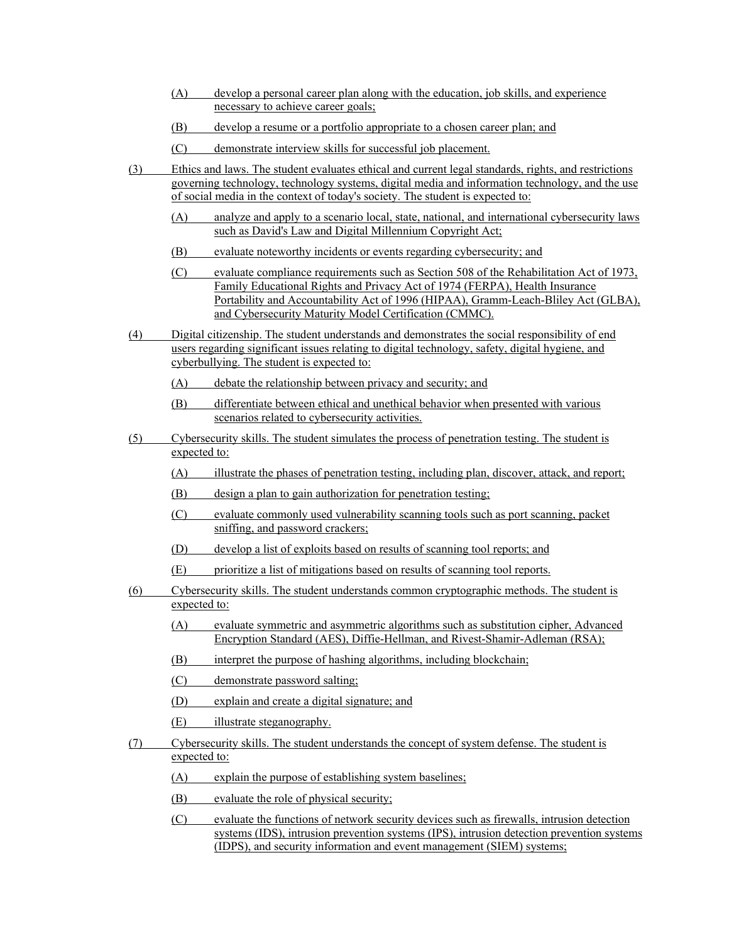- (A) develop a personal career plan along with the education, job skills, and experience necessary to achieve career goals;
- (B) develop a resume or a portfolio appropriate to a chosen career plan; and
- (C) demonstrate interview skills for successful job placement.
- (3) Ethics and laws. The student evaluates ethical and current legal standards, rights, and restrictions governing technology, technology systems, digital media and information technology, and the use of social media in the context of today's society. The student is expected to:
	- (A) analyze and apply to a scenario local, state, national, and international cybersecurity laws such as David's Law and Digital Millennium Copyright Act;
	- (B) evaluate noteworthy incidents or events regarding cybersecurity; and
	- (C) evaluate compliance requirements such as Section 508 of the Rehabilitation Act of 1973, Family Educational Rights and Privacy Act of 1974 (FERPA), Health Insurance Portability and Accountability Act of 1996 (HIPAA), Gramm-Leach-Bliley Act (GLBA), and Cybersecurity Maturity Model Certification (CMMC).
- (4) Digital citizenship. The student understands and demonstrates the social responsibility of end users regarding significant issues relating to digital technology, safety, digital hygiene, and cyberbullying. The student is expected to:
	- (A) debate the relationship between privacy and security; and
	- (B) differentiate between ethical and unethical behavior when presented with various scenarios related to cybersecurity activities.
- (5) Cybersecurity skills. The student simulates the process of penetration testing. The student is expected to:
	- (A) illustrate the phases of penetration testing, including plan, discover, attack, and report;
	- (B) design a plan to gain authorization for penetration testing;
	- (C) evaluate commonly used vulnerability scanning tools such as port scanning, packet sniffing, and password crackers;
	- (D) develop a list of exploits based on results of scanning tool reports; and
	- (E) prioritize a list of mitigations based on results of scanning tool reports.
- (6) Cybersecurity skills. The student understands common cryptographic methods. The student is expected to:
	- (A) evaluate symmetric and asymmetric algorithms such as substitution cipher, Advanced Encryption Standard (AES), Diffie-Hellman, and Rivest-Shamir-Adleman (RSA);
	- (B) interpret the purpose of hashing algorithms, including blockchain;
	- (C) demonstrate password salting;
	- (D) explain and create a digital signature; and
	- (E) illustrate steganography.
- (7) Cybersecurity skills. The student understands the concept of system defense. The student is expected to:
	- (A) explain the purpose of establishing system baselines;
	- (B) evaluate the role of physical security;
	- (C) evaluate the functions of network security devices such as firewalls, intrusion detection systems (IDS), intrusion prevention systems (IPS), intrusion detection prevention systems (IDPS), and security information and event management (SIEM) systems;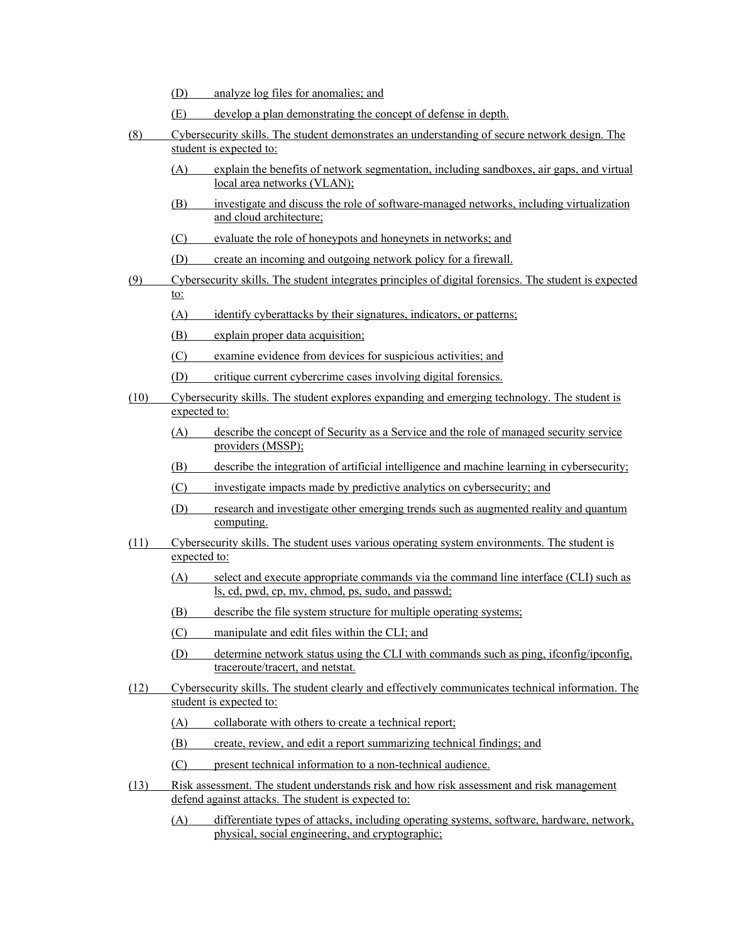- (D) analyze log files for anomalies; and
- (E) develop a plan demonstrating the concept of defense in depth.
- (8) Cybersecurity skills. The student demonstrates an understanding of secure network design. The student is expected to:
	- (A) explain the benefits of network segmentation, including sandboxes, air gaps, and virtual local area networks (VLAN);
	- (B) investigate and discuss the role of software-managed networks, including virtualization and cloud architecture;
	- (C) evaluate the role of honeypots and honeynets in networks; and
	- (D) create an incoming and outgoing network policy for a firewall.
- (9) Cybersecurity skills. The student integrates principles of digital forensics. The student is expected to:
	- (A) identify cyberattacks by their signatures, indicators, or patterns;
	- (B) explain proper data acquisition;
	- (C) examine evidence from devices for suspicious activities; and
	- (D) critique current cybercrime cases involving digital forensics.
- (10) Cybersecurity skills. The student explores expanding and emerging technology. The student is expected to:
	- (A) describe the concept of Security as a Service and the role of managed security service providers (MSSP);
	- (B) describe the integration of artificial intelligence and machine learning in cybersecurity;
	- (C) investigate impacts made by predictive analytics on cybersecurity; and
	- (D) research and investigate other emerging trends such as augmented reality and quantum computing.
- (11) Cybersecurity skills. The student uses various operating system environments. The student is expected to:
	- (A) select and execute appropriate commands via the command line interface (CLI) such as ls, cd, pwd, cp, mv, chmod, ps, sudo, and passwd;
	- (B) describe the file system structure for multiple operating systems;
	- (C) manipulate and edit files within the CLI; and
	- (D) determine network status using the CLI with commands such as ping, ifconfig/ipconfig, traceroute/tracert, and netstat.
- (12) Cybersecurity skills. The student clearly and effectively communicates technical information. The student is expected to:
	- (A) collaborate with others to create a technical report;
	- (B) create, review, and edit a report summarizing technical findings; and
	- (C) present technical information to a non-technical audience.
- (13) Risk assessment. The student understands risk and how risk assessment and risk management defend against attacks. The student is expected to:
	- (A) differentiate types of attacks, including operating systems, software, hardware, network, physical, social engineering, and cryptographic;